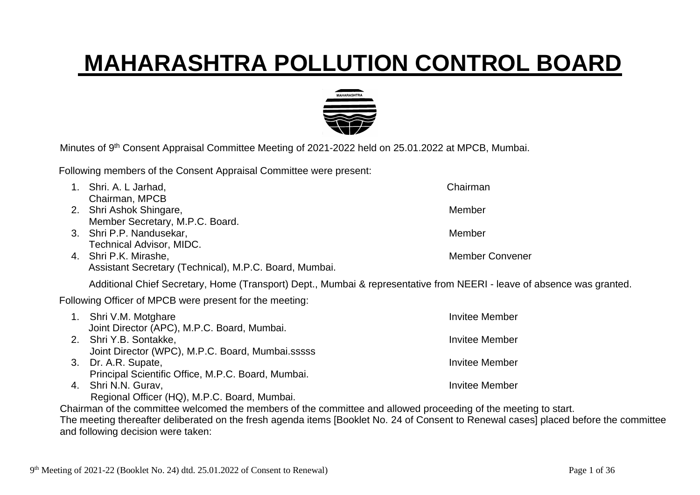## **MAHARASHTRA POLLUTION CONTROL BOARD**



Minutes of 9<sup>th</sup> Consent Appraisal Committee Meeting of 2021-2022 held on 25.01.2022 at MPCB, Mumbai.

Following members of the Consent Appraisal Committee were present:

| 1. Shri. A. L Jarhad,                                                                                                            | Chairman               |
|----------------------------------------------------------------------------------------------------------------------------------|------------------------|
| Chairman, MPCB                                                                                                                   |                        |
| 2. Shri Ashok Shingare,                                                                                                          | Member                 |
| Member Secretary, M.P.C. Board.                                                                                                  |                        |
| 3. Shri P.P. Nandusekar,                                                                                                         | Member                 |
| <b>Technical Advisor, MIDC.</b>                                                                                                  |                        |
| 4. Shri P.K. Mirashe,                                                                                                            | <b>Member Convener</b> |
| Assistant Secretary (Technical), M.P.C. Board, Mumbai.                                                                           |                        |
| Additional Chief Secretary, Home (Transport) Dept., Mumbai & representative from NEERI - leave of absence was granted.           |                        |
| Following Officer of MPCB were present for the meeting:                                                                          |                        |
| 1. Shri V.M. Motghare                                                                                                            | Invitee Member         |
| Joint Director (APC), M.P.C. Board, Mumbai.                                                                                      |                        |
| 2. Shri Y.B. Sontakke,                                                                                                           | Invitee Member         |
| Joint Director (WPC), M.P.C. Board, Mumbai.sssss                                                                                 |                        |
| 3. Dr. A.R. Supate,                                                                                                              | <b>Invitee Member</b>  |
| Principal Scientific Office, M.P.C. Board, Mumbai.                                                                               |                        |
| 4. Shri N.N. Gurav,                                                                                                              | <b>Invitee Member</b>  |
| Regional Officer (HQ), M.P.C. Board, Mumbai.                                                                                     |                        |
| Chairman of the committee welcomed the members of the committee and allowed proceeding of the meeting to start.                  |                        |
| The meeting thereafter deliberated on the fresh agenda items [Booklet No. 24 of Consent to Renewal cases] placed before the comm |                        |

The meeting thereafter deliberated on the fresh agenda items [Booklet No. 24 of Consent to Renewal cases] placed before the committee and following decision were taken: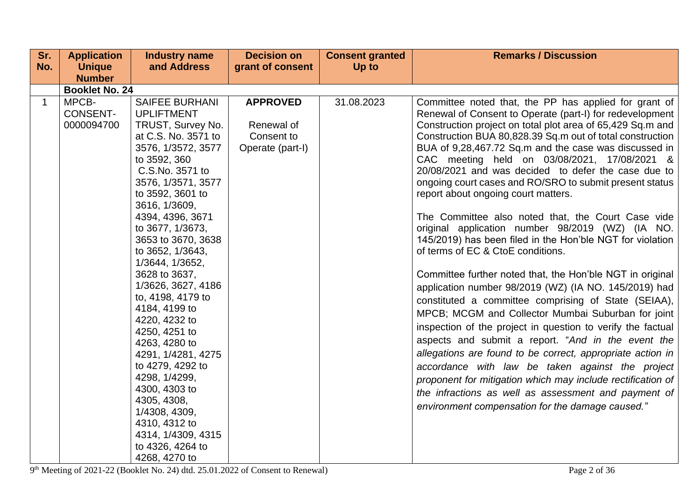| Sr. | <b>Application</b>                     | <b>Industry name</b>                                                                                                                                                                                                                                                                                                                                                                                                                                                                                                                                                                                                   | <b>Decision on</b>                                              | <b>Consent granted</b> | <b>Remarks / Discussion</b>                                                                                                                                                                                                                                                                                                                                                                                                                                                                                                                                                                                                                                                                                                                                                                                                                                                                                                                                                                                                                                                                                                                                                                                                                                                                                                                                                      |  |  |  |
|-----|----------------------------------------|------------------------------------------------------------------------------------------------------------------------------------------------------------------------------------------------------------------------------------------------------------------------------------------------------------------------------------------------------------------------------------------------------------------------------------------------------------------------------------------------------------------------------------------------------------------------------------------------------------------------|-----------------------------------------------------------------|------------------------|----------------------------------------------------------------------------------------------------------------------------------------------------------------------------------------------------------------------------------------------------------------------------------------------------------------------------------------------------------------------------------------------------------------------------------------------------------------------------------------------------------------------------------------------------------------------------------------------------------------------------------------------------------------------------------------------------------------------------------------------------------------------------------------------------------------------------------------------------------------------------------------------------------------------------------------------------------------------------------------------------------------------------------------------------------------------------------------------------------------------------------------------------------------------------------------------------------------------------------------------------------------------------------------------------------------------------------------------------------------------------------|--|--|--|
| No. | <b>Unique</b>                          | and Address                                                                                                                                                                                                                                                                                                                                                                                                                                                                                                                                                                                                            | grant of consent                                                | Up to                  |                                                                                                                                                                                                                                                                                                                                                                                                                                                                                                                                                                                                                                                                                                                                                                                                                                                                                                                                                                                                                                                                                                                                                                                                                                                                                                                                                                                  |  |  |  |
|     | <b>Number</b>                          |                                                                                                                                                                                                                                                                                                                                                                                                                                                                                                                                                                                                                        |                                                                 |                        |                                                                                                                                                                                                                                                                                                                                                                                                                                                                                                                                                                                                                                                                                                                                                                                                                                                                                                                                                                                                                                                                                                                                                                                                                                                                                                                                                                                  |  |  |  |
|     | <b>Booklet No. 24</b>                  |                                                                                                                                                                                                                                                                                                                                                                                                                                                                                                                                                                                                                        |                                                                 |                        |                                                                                                                                                                                                                                                                                                                                                                                                                                                                                                                                                                                                                                                                                                                                                                                                                                                                                                                                                                                                                                                                                                                                                                                                                                                                                                                                                                                  |  |  |  |
| 1   | MPCB-<br><b>CONSENT-</b><br>0000094700 | <b>SAIFEE BURHANI</b><br><b>UPLIFTMENT</b><br>TRUST, Survey No.<br>at C.S. No. 3571 to<br>3576, 1/3572, 3577<br>to 3592, 360<br>C.S.No. 3571 to<br>3576, 1/3571, 3577<br>to 3592, 3601 to<br>3616, 1/3609,<br>4394, 4396, 3671<br>to 3677, 1/3673,<br>3653 to 3670, 3638<br>to 3652, 1/3643,<br>1/3644, 1/3652,<br>3628 to 3637,<br>1/3626, 3627, 4186<br>to, 4198, 4179 to<br>4184, 4199 to<br>4220, 4232 to<br>4250, 4251 to<br>4263, 4280 to<br>4291, 1/4281, 4275<br>to 4279, 4292 to<br>4298, 1/4299,<br>4300, 4303 to<br>4305, 4308,<br>1/4308, 4309,<br>4310, 4312 to<br>4314, 1/4309, 4315<br>to 4326, 4264 to | <b>APPROVED</b><br>Renewal of<br>Consent to<br>Operate (part-I) | 31.08.2023             | Committee noted that, the PP has applied for grant of<br>Renewal of Consent to Operate (part-I) for redevelopment<br>Construction project on total plot area of 65,429 Sq.m and<br>Construction BUA 80,828.39 Sq.m out of total construction<br>BUA of 9,28,467.72 Sq.m and the case was discussed in<br>CAC meeting held on 03/08/2021, 17/08/2021 &<br>20/08/2021 and was decided to defer the case due to<br>ongoing court cases and RO/SRO to submit present status<br>report about ongoing court matters.<br>The Committee also noted that, the Court Case vide<br>original application number 98/2019 (WZ) (IA NO.<br>145/2019) has been filed in the Hon'ble NGT for violation<br>of terms of EC & CtoE conditions.<br>Committee further noted that, the Hon'ble NGT in original<br>application number 98/2019 (WZ) (IA NO. 145/2019) had<br>constituted a committee comprising of State (SEIAA),<br>MPCB; MCGM and Collector Mumbai Suburban for joint<br>inspection of the project in question to verify the factual<br>aspects and submit a report. "And in the event the<br>allegations are found to be correct, appropriate action in<br>accordance with law be taken against the project<br>proponent for mitigation which may include rectification of<br>the infractions as well as assessment and payment of<br>environment compensation for the damage caused." |  |  |  |
|     |                                        | 4268, 4270 to                                                                                                                                                                                                                                                                                                                                                                                                                                                                                                                                                                                                          |                                                                 |                        |                                                                                                                                                                                                                                                                                                                                                                                                                                                                                                                                                                                                                                                                                                                                                                                                                                                                                                                                                                                                                                                                                                                                                                                                                                                                                                                                                                                  |  |  |  |

9<sup>th</sup> Meeting of 2021-22 (Booklet No. 24) dtd. 25.01.2022 of Consent to Renewal) Page 2 of 36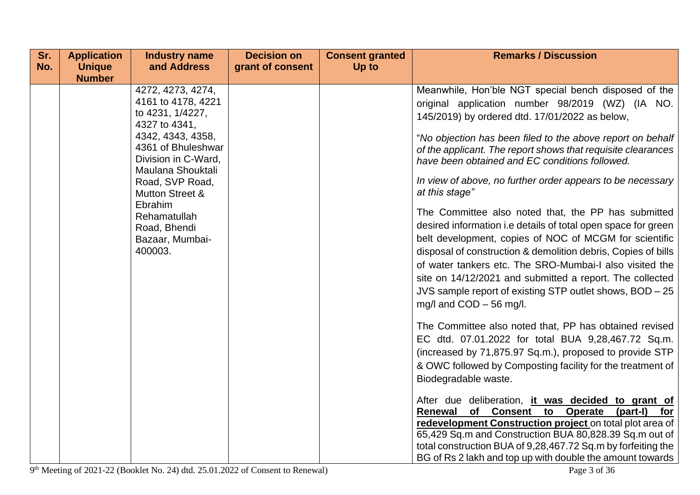| Sr. | <b>Application</b>             | <b>Industry name</b>                                                                                                                                                                                                                                                                                         | <b>Decision on</b> | <b>Consent granted</b> | <b>Remarks / Discussion</b>                                                                                                                                                                                                                                                                                                                                                                                                                                                                                                                                                                                                                                                                                                                                                                                                                                                                                                                                                                                                                                                                                                                                                                                                                                                                                                                                                                                                                                    |
|-----|--------------------------------|--------------------------------------------------------------------------------------------------------------------------------------------------------------------------------------------------------------------------------------------------------------------------------------------------------------|--------------------|------------------------|----------------------------------------------------------------------------------------------------------------------------------------------------------------------------------------------------------------------------------------------------------------------------------------------------------------------------------------------------------------------------------------------------------------------------------------------------------------------------------------------------------------------------------------------------------------------------------------------------------------------------------------------------------------------------------------------------------------------------------------------------------------------------------------------------------------------------------------------------------------------------------------------------------------------------------------------------------------------------------------------------------------------------------------------------------------------------------------------------------------------------------------------------------------------------------------------------------------------------------------------------------------------------------------------------------------------------------------------------------------------------------------------------------------------------------------------------------------|
|     |                                |                                                                                                                                                                                                                                                                                                              |                    |                        |                                                                                                                                                                                                                                                                                                                                                                                                                                                                                                                                                                                                                                                                                                                                                                                                                                                                                                                                                                                                                                                                                                                                                                                                                                                                                                                                                                                                                                                                |
| No. | <b>Unique</b><br><b>Number</b> | and Address<br>4272, 4273, 4274,<br>4161 to 4178, 4221<br>to 4231, 1/4227,<br>4327 to 4341,<br>4342, 4343, 4358,<br>4361 of Bhuleshwar<br>Division in C-Ward,<br>Maulana Shouktali<br>Road, SVP Road,<br><b>Mutton Street &amp;</b><br>Ebrahim<br>Rehamatullah<br>Road, Bhendi<br>Bazaar, Mumbai-<br>400003. | grant of consent   | Up to                  | Meanwhile, Hon'ble NGT special bench disposed of the<br>original application number 98/2019 (WZ) (IA NO.<br>145/2019) by ordered dtd. 17/01/2022 as below,<br>"No objection has been filed to the above report on behalf<br>of the applicant. The report shows that requisite clearances<br>have been obtained and EC conditions followed.<br>In view of above, no further order appears to be necessary<br>at this stage"<br>The Committee also noted that, the PP has submitted<br>desired information i.e details of total open space for green<br>belt development, copies of NOC of MCGM for scientific<br>disposal of construction & demolition debris, Copies of bills<br>of water tankers etc. The SRO-Mumbai-I also visited the<br>site on 14/12/2021 and submitted a report. The collected<br>JVS sample report of existing STP outlet shows, BOD - 25<br>mg/l and COD - 56 mg/l.<br>The Committee also noted that, PP has obtained revised<br>EC dtd. 07.01.2022 for total BUA 9,28,467.72 Sq.m.<br>(increased by 71,875.97 Sq.m.), proposed to provide STP<br>& OWC followed by Composting facility for the treatment of<br>Biodegradable waste.<br>After due deliberation, it was decided to grant of<br>Renewal of Consent to Operate<br>$(part-I)$<br>for<br>redevelopment Construction project on total plot area of<br>65,429 Sq.m and Construction BUA 80,828.39 Sq.m out of<br>total construction BUA of 9,28,467.72 Sq.m by forfeiting the |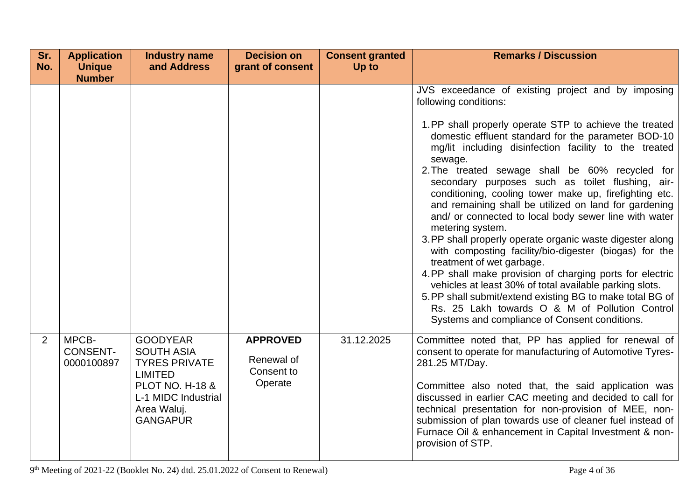| Sr.            | <b>Application</b>                     | <b>Industry name</b>                                                                                                                                                  | <b>Decision on</b>                                     | <b>Consent granted</b> | <b>Remarks / Discussion</b>                                                                                                                                                                                                                                                                                                                                                                                                                                                                                                                                                                                                                                                                                                                                                                                                                                                                                                                                                                                        |
|----------------|----------------------------------------|-----------------------------------------------------------------------------------------------------------------------------------------------------------------------|--------------------------------------------------------|------------------------|--------------------------------------------------------------------------------------------------------------------------------------------------------------------------------------------------------------------------------------------------------------------------------------------------------------------------------------------------------------------------------------------------------------------------------------------------------------------------------------------------------------------------------------------------------------------------------------------------------------------------------------------------------------------------------------------------------------------------------------------------------------------------------------------------------------------------------------------------------------------------------------------------------------------------------------------------------------------------------------------------------------------|
| No.            | <b>Unique</b><br><b>Number</b>         | and Address                                                                                                                                                           | grant of consent                                       | Up to                  |                                                                                                                                                                                                                                                                                                                                                                                                                                                                                                                                                                                                                                                                                                                                                                                                                                                                                                                                                                                                                    |
|                |                                        |                                                                                                                                                                       |                                                        |                        | JVS exceedance of existing project and by imposing<br>following conditions:<br>1.PP shall properly operate STP to achieve the treated<br>domestic effluent standard for the parameter BOD-10<br>mg/lit including disinfection facility to the treated<br>sewage.<br>2. The treated sewage shall be 60% recycled for<br>secondary purposes such as toilet flushing, air-<br>conditioning, cooling tower make up, firefighting etc.<br>and remaining shall be utilized on land for gardening<br>and/ or connected to local body sewer line with water<br>metering system.<br>3. PP shall properly operate organic waste digester along<br>with composting facility/bio-digester (biogas) for the<br>treatment of wet garbage.<br>4.PP shall make provision of charging ports for electric<br>vehicles at least 30% of total available parking slots.<br>5. PP shall submit/extend existing BG to make total BG of<br>Rs. 25 Lakh towards O & M of Pollution Control<br>Systems and compliance of Consent conditions. |
| $\overline{2}$ | MPCB-<br><b>CONSENT-</b><br>0000100897 | <b>GOODYEAR</b><br><b>SOUTH ASIA</b><br><b>TYRES PRIVATE</b><br><b>LIMITED</b><br><b>PLOT NO. H-18 &amp;</b><br>L-1 MIDC Industrial<br>Area Waluj.<br><b>GANGAPUR</b> | <b>APPROVED</b><br>Renewal of<br>Consent to<br>Operate | 31.12.2025             | Committee noted that, PP has applied for renewal of<br>consent to operate for manufacturing of Automotive Tyres-<br>281.25 MT/Day.<br>Committee also noted that, the said application was<br>discussed in earlier CAC meeting and decided to call for<br>technical presentation for non-provision of MEE, non-<br>submission of plan towards use of cleaner fuel instead of<br>Furnace Oil & enhancement in Capital Investment & non-<br>provision of STP.                                                                                                                                                                                                                                                                                                                                                                                                                                                                                                                                                         |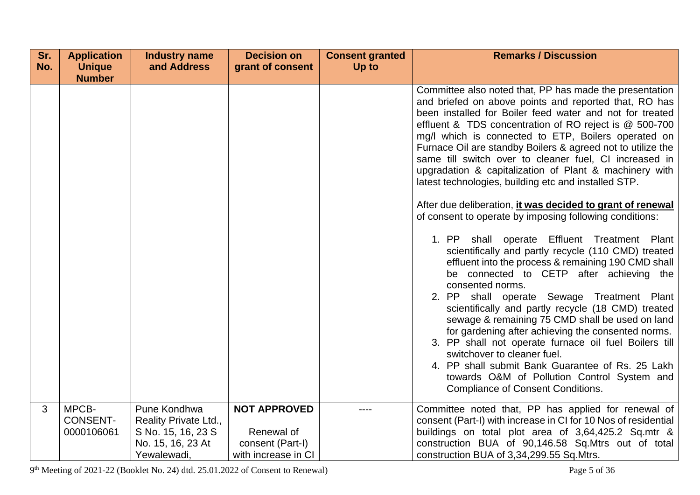| Sr. | <b>Application</b>       | <b>Industry name</b>                  | <b>Decision on</b>  | <b>Consent granted</b> | <b>Remarks / Discussion</b>                                                                                                                                                                                                                                                                                                                                                                                                                                                                                                                                                                                                                                                    |
|-----|--------------------------|---------------------------------------|---------------------|------------------------|--------------------------------------------------------------------------------------------------------------------------------------------------------------------------------------------------------------------------------------------------------------------------------------------------------------------------------------------------------------------------------------------------------------------------------------------------------------------------------------------------------------------------------------------------------------------------------------------------------------------------------------------------------------------------------|
| No. | <b>Unique</b>            | and Address                           | grant of consent    | Up to                  |                                                                                                                                                                                                                                                                                                                                                                                                                                                                                                                                                                                                                                                                                |
|     | <b>Number</b>            |                                       |                     |                        |                                                                                                                                                                                                                                                                                                                                                                                                                                                                                                                                                                                                                                                                                |
|     |                          |                                       |                     |                        | Committee also noted that, PP has made the presentation<br>and briefed on above points and reported that, RO has<br>been installed for Boiler feed water and not for treated<br>effluent & TDS concentration of RO reject is @ 500-700<br>mg/l which is connected to ETP, Boilers operated on<br>Furnace Oil are standby Boilers & agreed not to utilize the<br>same till switch over to cleaner fuel, CI increased in<br>upgradation & capitalization of Plant & machinery with<br>latest technologies, building etc and installed STP.                                                                                                                                       |
|     |                          |                                       |                     |                        | After due deliberation, it was decided to grant of renewal<br>of consent to operate by imposing following conditions:                                                                                                                                                                                                                                                                                                                                                                                                                                                                                                                                                          |
|     |                          |                                       |                     |                        | 1. PP shall operate Effluent Treatment Plant<br>scientifically and partly recycle (110 CMD) treated<br>effluent into the process & remaining 190 CMD shall<br>be connected to CETP after achieving the<br>consented norms.<br>2. PP shall operate Sewage Treatment Plant<br>scientifically and partly recycle (18 CMD) treated<br>sewage & remaining 75 CMD shall be used on land<br>for gardening after achieving the consented norms.<br>3. PP shall not operate furnace oil fuel Boilers till<br>switchover to cleaner fuel.<br>4. PP shall submit Bank Guarantee of Rs. 25 Lakh<br>towards O&M of Pollution Control System and<br><b>Compliance of Consent Conditions.</b> |
| 3   | MPCB-<br><b>CONSENT-</b> | Pune Kondhwa<br>Reality Private Ltd., | <b>NOT APPROVED</b> | ----                   | Committee noted that, PP has applied for renewal of<br>consent (Part-I) with increase in CI for 10 Nos of residential                                                                                                                                                                                                                                                                                                                                                                                                                                                                                                                                                          |
|     | 0000106061               | S No. 15, 16, 23 S                    | Renewal of          |                        | buildings on total plot area of 3,64,425.2 Sq.mtr &                                                                                                                                                                                                                                                                                                                                                                                                                                                                                                                                                                                                                            |
|     |                          | No. 15, 16, 23 At                     | consent (Part-I)    |                        | construction BUA of 90,146.58 Sq.Mtrs out of total                                                                                                                                                                                                                                                                                                                                                                                                                                                                                                                                                                                                                             |
|     |                          | Yewalewadi,                           | with increase in CI |                        | construction BUA of 3,34,299.55 Sq.Mtrs.                                                                                                                                                                                                                                                                                                                                                                                                                                                                                                                                                                                                                                       |

9<sup>th</sup> Meeting of 2021-22 (Booklet No. 24) dtd. 25.01.2022 of Consent to Renewal) Page 5 of 36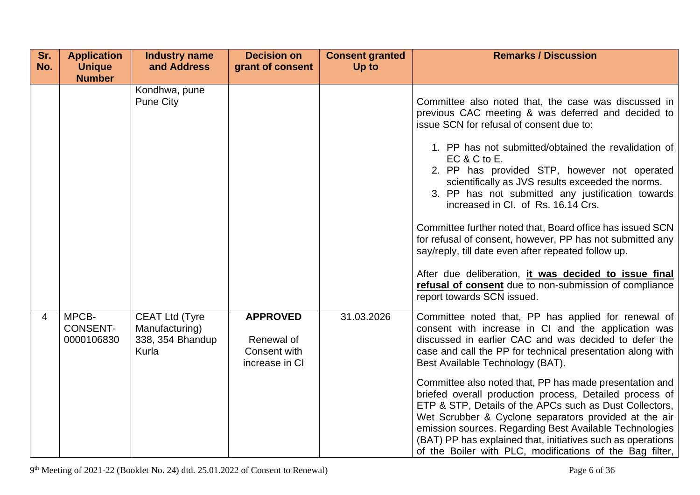| Sr.<br>No. | <b>Application</b><br><b>Unique</b><br><b>Number</b> | <b>Industry name</b><br>and Address                                  | <b>Decision on</b><br>grant of consent                          | <b>Consent granted</b><br>Up to | <b>Remarks / Discussion</b>                                                                                                                                                                                                                                                                                                                                                                                                                                                                                                                                                                                                                                                                                                                                        |
|------------|------------------------------------------------------|----------------------------------------------------------------------|-----------------------------------------------------------------|---------------------------------|--------------------------------------------------------------------------------------------------------------------------------------------------------------------------------------------------------------------------------------------------------------------------------------------------------------------------------------------------------------------------------------------------------------------------------------------------------------------------------------------------------------------------------------------------------------------------------------------------------------------------------------------------------------------------------------------------------------------------------------------------------------------|
|            |                                                      | Kondhwa, pune<br><b>Pune City</b>                                    |                                                                 |                                 | Committee also noted that, the case was discussed in<br>previous CAC meeting & was deferred and decided to<br>issue SCN for refusal of consent due to:<br>1. PP has not submitted/obtained the revalidation of<br>$EC & C$ to E.<br>2. PP has provided STP, however not operated<br>scientifically as JVS results exceeded the norms.<br>3. PP has not submitted any justification towards<br>increased in CI. of Rs. 16.14 Crs.<br>Committee further noted that, Board office has issued SCN<br>for refusal of consent, however, PP has not submitted any<br>say/reply, till date even after repeated follow up.<br>After due deliberation, it was decided to issue final<br>refusal of consent due to non-submission of compliance<br>report towards SCN issued. |
| 4          | MPCB-<br><b>CONSENT-</b><br>0000106830               | <b>CEAT Ltd (Tyre</b><br>Manufacturing)<br>338, 354 Bhandup<br>Kurla | <b>APPROVED</b><br>Renewal of<br>Consent with<br>increase in CI | 31.03.2026                      | Committee noted that, PP has applied for renewal of<br>consent with increase in CI and the application was<br>discussed in earlier CAC and was decided to defer the<br>case and call the PP for technical presentation along with<br>Best Available Technology (BAT).                                                                                                                                                                                                                                                                                                                                                                                                                                                                                              |
|            |                                                      |                                                                      |                                                                 |                                 | Committee also noted that, PP has made presentation and<br>briefed overall production process, Detailed process of<br>ETP & STP, Details of the APCs such as Dust Collectors,<br>Wet Scrubber & Cyclone separators provided at the air<br>emission sources. Regarding Best Available Technologies<br>(BAT) PP has explained that, initiatives such as operations<br>of the Boiler with PLC, modifications of the Bag filter,                                                                                                                                                                                                                                                                                                                                       |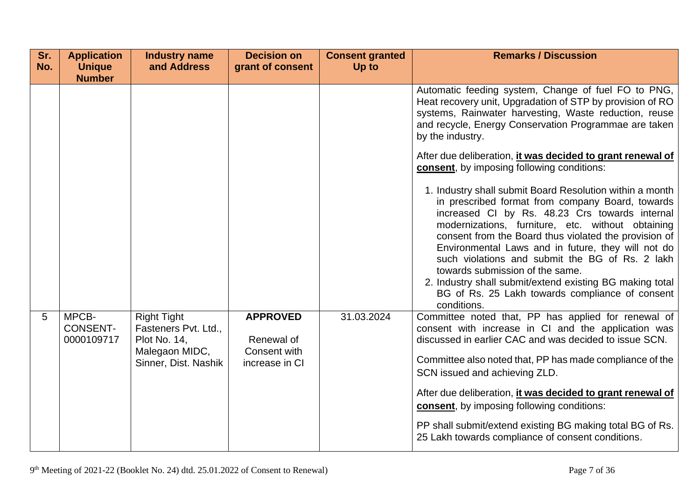| Sr.<br>No. | <b>Application</b><br><b>Unique</b><br><b>Number</b> | <b>Industry name</b><br>and Address                                                                         | <b>Decision on</b><br>grant of consent                          | <b>Consent granted</b><br>Up to | <b>Remarks / Discussion</b>                                                                                                                                                                                                                                                                                                                                                                                                                                                                                                                            |
|------------|------------------------------------------------------|-------------------------------------------------------------------------------------------------------------|-----------------------------------------------------------------|---------------------------------|--------------------------------------------------------------------------------------------------------------------------------------------------------------------------------------------------------------------------------------------------------------------------------------------------------------------------------------------------------------------------------------------------------------------------------------------------------------------------------------------------------------------------------------------------------|
|            |                                                      |                                                                                                             |                                                                 |                                 | Automatic feeding system, Change of fuel FO to PNG,<br>Heat recovery unit, Upgradation of STP by provision of RO<br>systems, Rainwater harvesting, Waste reduction, reuse<br>and recycle, Energy Conservation Programmae are taken<br>by the industry.                                                                                                                                                                                                                                                                                                 |
|            |                                                      |                                                                                                             |                                                                 |                                 | After due deliberation, it was decided to grant renewal of<br>consent, by imposing following conditions:                                                                                                                                                                                                                                                                                                                                                                                                                                               |
|            |                                                      |                                                                                                             |                                                                 |                                 | 1. Industry shall submit Board Resolution within a month<br>in prescribed format from company Board, towards<br>increased CI by Rs. 48.23 Crs towards internal<br>modernizations, furniture, etc. without obtaining<br>consent from the Board thus violated the provision of<br>Environmental Laws and in future, they will not do<br>such violations and submit the BG of Rs. 2 lakh<br>towards submission of the same.<br>2. Industry shall submit/extend existing BG making total<br>BG of Rs. 25 Lakh towards compliance of consent<br>conditions. |
| 5          | MPCB-<br><b>CONSENT-</b><br>0000109717               | <b>Right Tight</b><br>Fasteners Pvt. Ltd.,<br><b>Plot No. 14,</b><br>Malegaon MIDC,<br>Sinner, Dist. Nashik | <b>APPROVED</b><br>Renewal of<br>Consent with<br>increase in CI | 31.03.2024                      | Committee noted that, PP has applied for renewal of<br>consent with increase in CI and the application was<br>discussed in earlier CAC and was decided to issue SCN.<br>Committee also noted that, PP has made compliance of the<br>SCN issued and achieving ZLD.                                                                                                                                                                                                                                                                                      |
|            |                                                      |                                                                                                             |                                                                 |                                 | After due deliberation, it was decided to grant renewal of<br>consent, by imposing following conditions:                                                                                                                                                                                                                                                                                                                                                                                                                                               |
|            |                                                      |                                                                                                             |                                                                 |                                 | PP shall submit/extend existing BG making total BG of Rs.<br>25 Lakh towards compliance of consent conditions.                                                                                                                                                                                                                                                                                                                                                                                                                                         |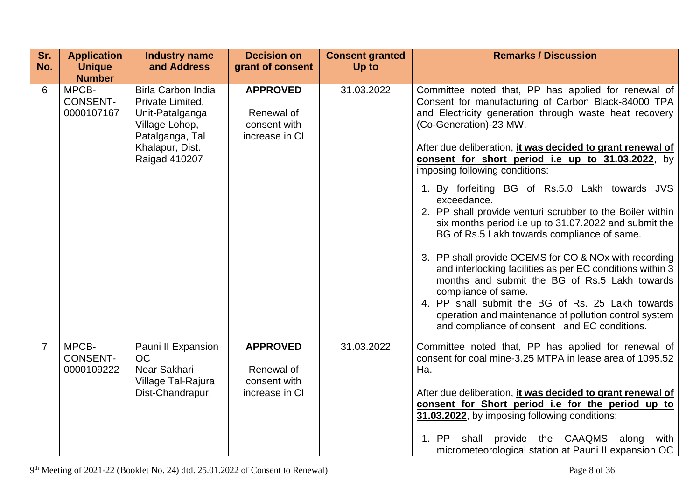| Sr.<br>No.     | <b>Application</b><br><b>Unique</b><br><b>Number</b> | <b>Industry name</b><br>and Address                                                                   | <b>Decision on</b><br>grant of consent                          | <b>Consent granted</b><br>Up to | <b>Remarks / Discussion</b>                                                                                                                                                                                                                                                                                                                             |
|----------------|------------------------------------------------------|-------------------------------------------------------------------------------------------------------|-----------------------------------------------------------------|---------------------------------|---------------------------------------------------------------------------------------------------------------------------------------------------------------------------------------------------------------------------------------------------------------------------------------------------------------------------------------------------------|
| 6              | MPCB-<br><b>CONSENT-</b><br>0000107167               | <b>Birla Carbon India</b><br>Private Limited,<br>Unit-Patalganga<br>Village Lohop,<br>Patalganga, Tal | <b>APPROVED</b><br>Renewal of<br>consent with<br>increase in CI | 31.03.2022                      | Committee noted that, PP has applied for renewal of<br>Consent for manufacturing of Carbon Black-84000 TPA<br>and Electricity generation through waste heat recovery<br>(Co-Generation)-23 MW.                                                                                                                                                          |
|                |                                                      | Khalapur, Dist.<br>Raigad 410207                                                                      |                                                                 |                                 | After due deliberation, <i>it was decided to grant renewal of</i><br>consent for short period i.e up to 31.03.2022, by<br>imposing following conditions:                                                                                                                                                                                                |
|                |                                                      |                                                                                                       |                                                                 |                                 | 1. By forfeiting BG of Rs.5.0 Lakh towards JVS<br>exceedance.<br>2. PP shall provide venturi scrubber to the Boiler within<br>six months period i.e up to 31.07.2022 and submit the<br>BG of Rs.5 Lakh towards compliance of same.                                                                                                                      |
|                |                                                      |                                                                                                       |                                                                 |                                 | 3. PP shall provide OCEMS for CO & NOx with recording<br>and interlocking facilities as per EC conditions within 3<br>months and submit the BG of Rs.5 Lakh towards<br>compliance of same.<br>4. PP shall submit the BG of Rs. 25 Lakh towards<br>operation and maintenance of pollution control system<br>and compliance of consent and EC conditions. |
| $\overline{7}$ | MPCB-<br><b>CONSENT-</b><br>0000109222               | Pauni II Expansion<br><b>OC</b><br>Near Sakhari<br>Village Tal-Rajura<br>Dist-Chandrapur.             | <b>APPROVED</b><br>Renewal of<br>consent with<br>increase in CI | 31.03.2022                      | Committee noted that, PP has applied for renewal of<br>consent for coal mine-3.25 MTPA in lease area of 1095.52<br>Ha.<br>After due deliberation, <i>it was decided to grant renewal of</i><br>consent for Short period i.e for the period up to<br>31.03.2022, by imposing following conditions:<br>shall provide the CAAQMS along<br>1. PP<br>with    |
|                |                                                      |                                                                                                       |                                                                 |                                 | micrometeorological station at Pauni II expansion OC                                                                                                                                                                                                                                                                                                    |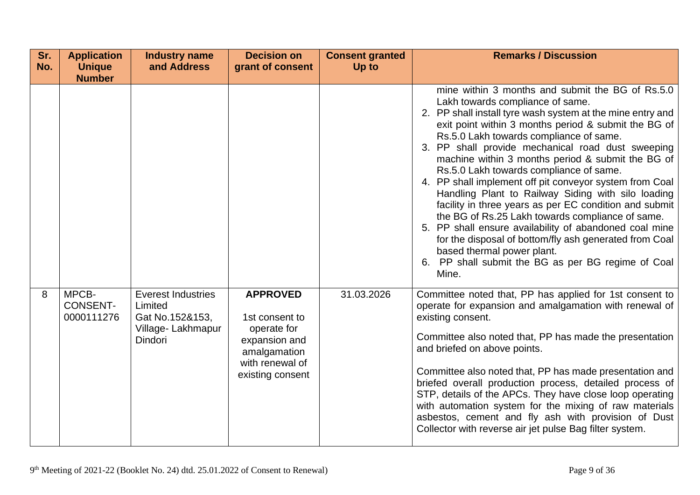| Sr.<br>No. | <b>Application</b><br><b>Unique</b><br><b>Number</b> | <b>Industry name</b><br>and Address                                                     | <b>Decision on</b><br>grant of consent                                                               | <b>Consent granted</b><br>Up to | <b>Remarks / Discussion</b>                                                                                                                                                                                                                                                                                                                                                                                                                                                                                                                                                                                                                                                                                                                                                                                                                                                                                                                                                                                                                                                                                                                                |
|------------|------------------------------------------------------|-----------------------------------------------------------------------------------------|------------------------------------------------------------------------------------------------------|---------------------------------|------------------------------------------------------------------------------------------------------------------------------------------------------------------------------------------------------------------------------------------------------------------------------------------------------------------------------------------------------------------------------------------------------------------------------------------------------------------------------------------------------------------------------------------------------------------------------------------------------------------------------------------------------------------------------------------------------------------------------------------------------------------------------------------------------------------------------------------------------------------------------------------------------------------------------------------------------------------------------------------------------------------------------------------------------------------------------------------------------------------------------------------------------------|
| 8          | MPCB-<br><b>CONSENT-</b><br>0000111276               | <b>Everest Industries</b><br>Limited<br>Gat No.152&153,<br>Village-Lakhmapur<br>Dindori | <b>APPROVED</b><br>1st consent to<br>operate for<br>expansion and<br>amalgamation<br>with renewal of | 31.03.2026                      | mine within 3 months and submit the BG of Rs.5.0<br>Lakh towards compliance of same.<br>2. PP shall install tyre wash system at the mine entry and<br>exit point within 3 months period & submit the BG of<br>Rs.5.0 Lakh towards compliance of same.<br>3. PP shall provide mechanical road dust sweeping<br>machine within 3 months period & submit the BG of<br>Rs.5.0 Lakh towards compliance of same.<br>4. PP shall implement off pit conveyor system from Coal<br>Handling Plant to Railway Siding with silo loading<br>facility in three years as per EC condition and submit<br>the BG of Rs.25 Lakh towards compliance of same.<br>5. PP shall ensure availability of abandoned coal mine<br>for the disposal of bottom/fly ash generated from Coal<br>based thermal power plant.<br>6. PP shall submit the BG as per BG regime of Coal<br>Mine.<br>Committee noted that, PP has applied for 1st consent to<br>operate for expansion and amalgamation with renewal of<br>existing consent.<br>Committee also noted that, PP has made the presentation<br>and briefed on above points.<br>Committee also noted that, PP has made presentation and |
|            |                                                      |                                                                                         | existing consent                                                                                     |                                 | briefed overall production process, detailed process of<br>STP, details of the APCs. They have close loop operating<br>with automation system for the mixing of raw materials<br>asbestos, cement and fly ash with provision of Dust<br>Collector with reverse air jet pulse Bag filter system.                                                                                                                                                                                                                                                                                                                                                                                                                                                                                                                                                                                                                                                                                                                                                                                                                                                            |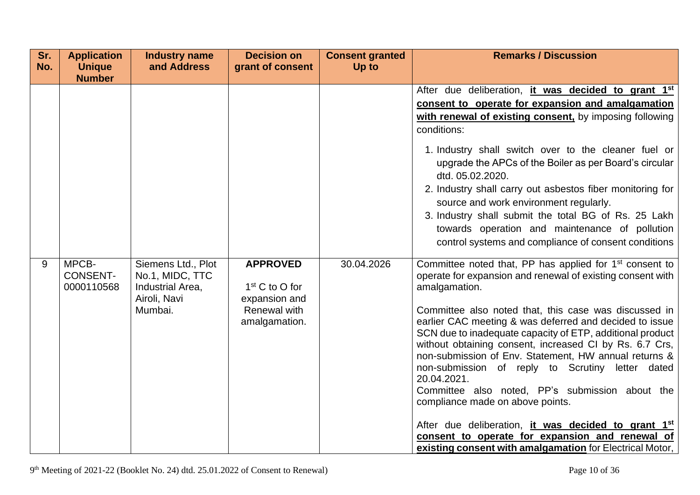| Sr.<br>No. | <b>Application</b><br><b>Unique</b>                     | <b>Industry name</b><br>and Address                                                  | <b>Decision on</b><br>grant of consent                                                | <b>Consent granted</b><br>Up to | <b>Remarks / Discussion</b>                                                                                                                                                                                                                                                                                                                                                                                                                                                                                                                                                                                                                                                                                                                                                                                                                                                                                                                                                                                                                                              |
|------------|---------------------------------------------------------|--------------------------------------------------------------------------------------|---------------------------------------------------------------------------------------|---------------------------------|--------------------------------------------------------------------------------------------------------------------------------------------------------------------------------------------------------------------------------------------------------------------------------------------------------------------------------------------------------------------------------------------------------------------------------------------------------------------------------------------------------------------------------------------------------------------------------------------------------------------------------------------------------------------------------------------------------------------------------------------------------------------------------------------------------------------------------------------------------------------------------------------------------------------------------------------------------------------------------------------------------------------------------------------------------------------------|
| 9          | <b>Number</b><br>MPCB-<br><b>CONSENT-</b><br>0000110568 | Siemens Ltd., Plot<br>No.1, MIDC, TTC<br>Industrial Area,<br>Airoli, Navi<br>Mumbai. | <b>APPROVED</b><br>$1st$ C to O for<br>expansion and<br>Renewal with<br>amalgamation. | 30.04.2026                      | After due deliberation, it was decided to grant 1 <sup>st</sup><br>consent to operate for expansion and amalgamation<br>with renewal of existing consent, by imposing following<br>conditions:<br>1. Industry shall switch over to the cleaner fuel or<br>upgrade the APCs of the Boiler as per Board's circular<br>dtd. 05.02.2020.<br>2. Industry shall carry out asbestos fiber monitoring for<br>source and work environment regularly.<br>3. Industry shall submit the total BG of Rs. 25 Lakh<br>towards operation and maintenance of pollution<br>control systems and compliance of consent conditions<br>Committee noted that, PP has applied for 1 <sup>st</sup> consent to<br>operate for expansion and renewal of existing consent with<br>amalgamation.<br>Committee also noted that, this case was discussed in<br>earlier CAC meeting & was deferred and decided to issue<br>SCN due to inadequate capacity of ETP, additional product<br>without obtaining consent, increased CI by Rs. 6.7 Crs,<br>non-submission of Env. Statement, HW annual returns & |
|            |                                                         |                                                                                      |                                                                                       |                                 | non-submission of reply to Scrutiny letter dated<br>20.04.2021.<br>Committee also noted, PP's submission about the<br>compliance made on above points.                                                                                                                                                                                                                                                                                                                                                                                                                                                                                                                                                                                                                                                                                                                                                                                                                                                                                                                   |
|            |                                                         |                                                                                      |                                                                                       |                                 | After due deliberation, it was decided to grant 1st<br>consent to operate for expansion and renewal of<br>existing consent with amalgamation for Electrical Motor,                                                                                                                                                                                                                                                                                                                                                                                                                                                                                                                                                                                                                                                                                                                                                                                                                                                                                                       |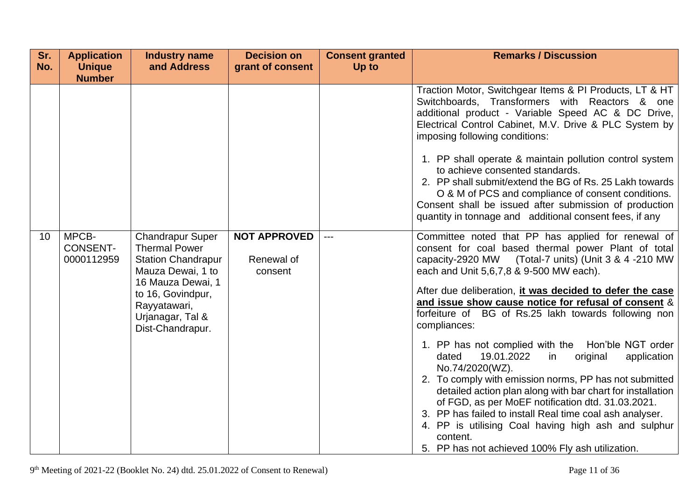| Sr.<br>No. | <b>Application</b><br><b>Unique</b><br><b>Number</b> | <b>Industry name</b><br>and Address                                                               | <b>Decision on</b><br>grant of consent       | <b>Consent granted</b><br>Up to | <b>Remarks / Discussion</b>                                                                                                                                                                                                                                                                                                                                                                                                                                                                  |
|------------|------------------------------------------------------|---------------------------------------------------------------------------------------------------|----------------------------------------------|---------------------------------|----------------------------------------------------------------------------------------------------------------------------------------------------------------------------------------------------------------------------------------------------------------------------------------------------------------------------------------------------------------------------------------------------------------------------------------------------------------------------------------------|
|            |                                                      |                                                                                                   |                                              |                                 | Traction Motor, Switchgear Items & PI Products, LT & HT<br>Switchboards, Transformers with Reactors & one<br>additional product - Variable Speed AC & DC Drive,<br>Electrical Control Cabinet, M.V. Drive & PLC System by<br>imposing following conditions:                                                                                                                                                                                                                                  |
|            |                                                      |                                                                                                   |                                              |                                 | 1. PP shall operate & maintain pollution control system<br>to achieve consented standards.<br>2. PP shall submit/extend the BG of Rs. 25 Lakh towards<br>O & M of PCS and compliance of consent conditions.<br>Consent shall be issued after submission of production<br>quantity in tonnage and additional consent fees, if any                                                                                                                                                             |
| 10         | MPCB-<br><b>CONSENT-</b><br>0000112959               | <b>Chandrapur Super</b><br><b>Thermal Power</b><br><b>Station Chandrapur</b><br>Mauza Dewai, 1 to | <b>NOT APPROVED</b><br>Renewal of<br>consent | $---$                           | Committee noted that PP has applied for renewal of<br>consent for coal based thermal power Plant of total<br>capacity-2920 MW (Total-7 units) (Unit 3 & 4 -210 MW<br>each and Unit 5,6,7,8 & 9-500 MW each).                                                                                                                                                                                                                                                                                 |
|            |                                                      | 16 Mauza Dewai, 1<br>to 16, Govindpur,<br>Rayyatawari,<br>Urjanagar, Tal &<br>Dist-Chandrapur.    |                                              |                                 | After due deliberation, it was decided to defer the case<br>and issue show cause notice for refusal of consent &<br>forfeiture of BG of Rs.25 lakh towards following non<br>compliances:                                                                                                                                                                                                                                                                                                     |
|            |                                                      |                                                                                                   |                                              |                                 | 1. PP has not complied with the Hon'ble NGT order<br>19.01.2022<br>dated<br>in<br>original<br>application<br>No.74/2020(WZ).<br>2. To comply with emission norms, PP has not submitted<br>detailed action plan along with bar chart for installation<br>of FGD, as per MoEF notification dtd. 31.03.2021.<br>3. PP has failed to install Real time coal ash analyser.<br>4. PP is utilising Coal having high ash and sulphur<br>content.<br>5. PP has not achieved 100% Fly ash utilization. |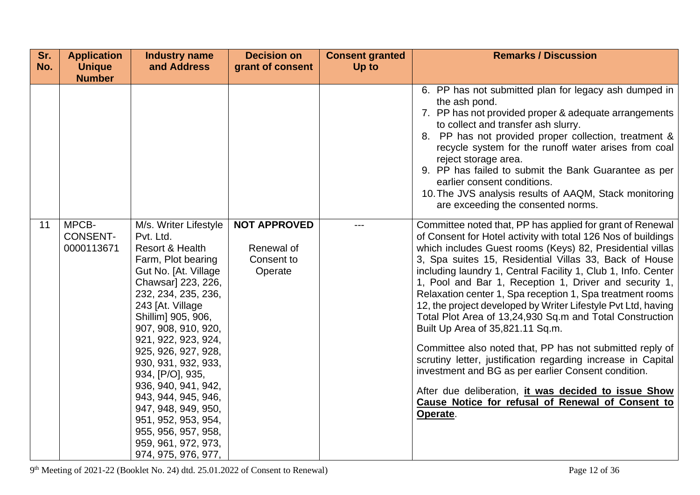| Sr.<br>No. | <b>Application</b><br><b>Unique</b>    | <b>Industry name</b><br>and Address                                                                                                                                                                                                                                                                                                                                                                                                                                                    | <b>Decision on</b><br>grant of consent                     | <b>Consent granted</b><br>Up to | <b>Remarks / Discussion</b>                                                                                                                                                                                                                                                                                                                                                                                                                                                                                                                                                                                                                                                                                                                                                                                                                                                                                            |
|------------|----------------------------------------|----------------------------------------------------------------------------------------------------------------------------------------------------------------------------------------------------------------------------------------------------------------------------------------------------------------------------------------------------------------------------------------------------------------------------------------------------------------------------------------|------------------------------------------------------------|---------------------------------|------------------------------------------------------------------------------------------------------------------------------------------------------------------------------------------------------------------------------------------------------------------------------------------------------------------------------------------------------------------------------------------------------------------------------------------------------------------------------------------------------------------------------------------------------------------------------------------------------------------------------------------------------------------------------------------------------------------------------------------------------------------------------------------------------------------------------------------------------------------------------------------------------------------------|
|            | <b>Number</b>                          |                                                                                                                                                                                                                                                                                                                                                                                                                                                                                        |                                                            |                                 |                                                                                                                                                                                                                                                                                                                                                                                                                                                                                                                                                                                                                                                                                                                                                                                                                                                                                                                        |
|            |                                        |                                                                                                                                                                                                                                                                                                                                                                                                                                                                                        |                                                            |                                 | 6. PP has not submitted plan for legacy ash dumped in<br>the ash pond.<br>7. PP has not provided proper & adequate arrangements<br>to collect and transfer ash slurry.<br>8. PP has not provided proper collection, treatment &<br>recycle system for the runoff water arises from coal<br>reject storage area.<br>9. PP has failed to submit the Bank Guarantee as per<br>earlier consent conditions.<br>10. The JVS analysis results of AAQM, Stack monitoring<br>are exceeding the consented norms.                                                                                                                                                                                                                                                                                                                                                                                                                 |
| 11         | MPCB-<br><b>CONSENT-</b><br>0000113671 | M/s. Writer Lifestyle<br>Pvt. Ltd.<br><b>Resort &amp; Health</b><br>Farm, Plot bearing<br>Gut No. [At. Village<br>Chawsar] 223, 226,<br>232, 234, 235, 236,<br>243 [At. Village<br>Shillim] 905, 906,<br>907, 908, 910, 920,<br>921, 922, 923, 924,<br>925, 926, 927, 928,<br>930, 931, 932, 933,<br>934, [P/O], 935,<br>936, 940, 941, 942,<br>943, 944, 945, 946,<br>947, 948, 949, 950,<br>951, 952, 953, 954,<br>955, 956, 957, 958,<br>959, 961, 972, 973,<br>974, 975, 976, 977, | <b>NOT APPROVED</b><br>Renewal of<br>Consent to<br>Operate |                                 | Committee noted that, PP has applied for grant of Renewal<br>of Consent for Hotel activity with total 126 Nos of buildings<br>which includes Guest rooms (Keys) 82, Presidential villas<br>3, Spa suites 15, Residential Villas 33, Back of House<br>including laundry 1, Central Facility 1, Club 1, Info. Center<br>1, Pool and Bar 1, Reception 1, Driver and security 1,<br>Relaxation center 1, Spa reception 1, Spa treatment rooms<br>12, the project developed by Writer Lifestyle Pvt Ltd, having<br>Total Plot Area of 13,24,930 Sq.m and Total Construction<br>Built Up Area of 35,821.11 Sq.m.<br>Committee also noted that, PP has not submitted reply of<br>scrutiny letter, justification regarding increase in Capital<br>investment and BG as per earlier Consent condition.<br>After due deliberation, it was decided to issue Show<br>Cause Notice for refusal of Renewal of Consent to<br>Operate. |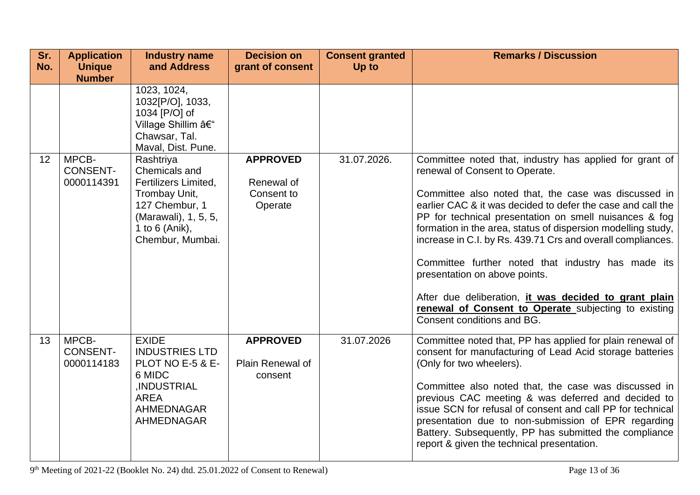| Sr.<br>No. | <b>Application</b><br><b>Unique</b>    | <b>Industry name</b><br>and Address                                                                                                                        | <b>Decision on</b><br>grant of consent                 | <b>Consent granted</b><br>Up to | <b>Remarks / Discussion</b>                                                                                                                                                                                                                                                                                                                                                                                                                                                                                                                                                                                                                     |
|------------|----------------------------------------|------------------------------------------------------------------------------------------------------------------------------------------------------------|--------------------------------------------------------|---------------------------------|-------------------------------------------------------------------------------------------------------------------------------------------------------------------------------------------------------------------------------------------------------------------------------------------------------------------------------------------------------------------------------------------------------------------------------------------------------------------------------------------------------------------------------------------------------------------------------------------------------------------------------------------------|
|            | <b>Number</b>                          |                                                                                                                                                            |                                                        |                                 |                                                                                                                                                                                                                                                                                                                                                                                                                                                                                                                                                                                                                                                 |
|            |                                        | 1023, 1024,<br>1032[P/O], 1033,<br>1034 [P/O] of<br>Village Shillim –<br>Chawsar, Tal.<br>Maval, Dist. Pune.                                               |                                                        |                                 |                                                                                                                                                                                                                                                                                                                                                                                                                                                                                                                                                                                                                                                 |
| 12         | MPCB-<br><b>CONSENT-</b><br>0000114391 | Rashtriya<br>Chemicals and<br><b>Fertilizers Limited.</b><br>Trombay Unit,<br>127 Chembur, 1<br>(Marawali), 1, 5, 5,<br>1 to 6 (Anik),<br>Chembur, Mumbai. | <b>APPROVED</b><br>Renewal of<br>Consent to<br>Operate | 31.07.2026.                     | Committee noted that, industry has applied for grant of<br>renewal of Consent to Operate.<br>Committee also noted that, the case was discussed in<br>earlier CAC & it was decided to defer the case and call the<br>PP for technical presentation on smell nuisances & fog<br>formation in the area, status of dispersion modelling study,<br>increase in C.I. by Rs. 439.71 Crs and overall compliances.<br>Committee further noted that industry has made its<br>presentation on above points.<br>After due deliberation, it was decided to grant plain<br>renewal of Consent to Operate subjecting to existing<br>Consent conditions and BG. |
| 13         | MPCB-<br><b>CONSENT-</b><br>0000114183 | <b>EXIDE</b><br><b>INDUSTRIES LTD</b><br>PLOT NO E-5 & E-<br>6 MIDC<br>,INDUSTRIAL<br><b>AREA</b><br><b>AHMEDNAGAR</b><br><b>AHMEDNAGAR</b>                | <b>APPROVED</b><br>Plain Renewal of<br>consent         | 31.07.2026                      | Committee noted that, PP has applied for plain renewal of<br>consent for manufacturing of Lead Acid storage batteries<br>(Only for two wheelers).<br>Committee also noted that, the case was discussed in<br>previous CAC meeting & was deferred and decided to<br>issue SCN for refusal of consent and call PP for technical<br>presentation due to non-submission of EPR regarding<br>Battery. Subsequently, PP has submitted the compliance<br>report & given the technical presentation.                                                                                                                                                    |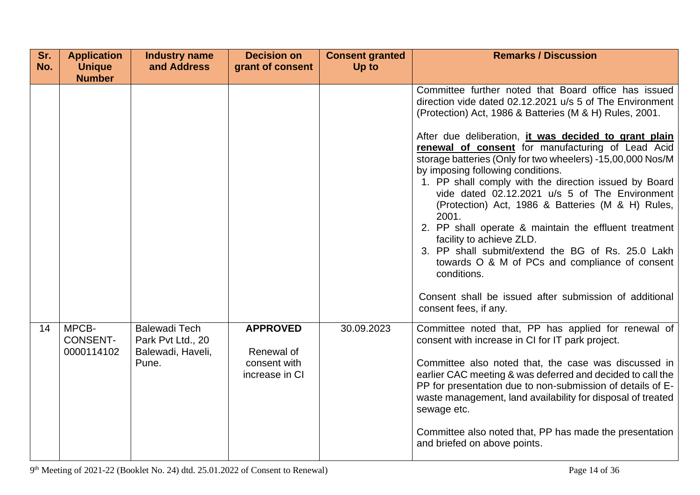| Sr.<br>No. | <b>Application</b><br><b>Unique</b>    | <b>Industry name</b><br>and Address                                     | <b>Decision on</b><br>grant of consent                          | <b>Consent granted</b><br>Up to | <b>Remarks / Discussion</b>                                                                                                                                                                                                                                                                                                                                                                                                                                                                                                                                                                                                                                                                                                                                                                                                                                         |
|------------|----------------------------------------|-------------------------------------------------------------------------|-----------------------------------------------------------------|---------------------------------|---------------------------------------------------------------------------------------------------------------------------------------------------------------------------------------------------------------------------------------------------------------------------------------------------------------------------------------------------------------------------------------------------------------------------------------------------------------------------------------------------------------------------------------------------------------------------------------------------------------------------------------------------------------------------------------------------------------------------------------------------------------------------------------------------------------------------------------------------------------------|
|            | <b>Number</b>                          |                                                                         |                                                                 |                                 | Committee further noted that Board office has issued<br>direction vide dated 02.12.2021 u/s 5 of The Environment<br>(Protection) Act, 1986 & Batteries (M & H) Rules, 2001.<br>After due deliberation, it was decided to grant plain<br>renewal of consent for manufacturing of Lead Acid<br>storage batteries (Only for two wheelers) -15,00,000 Nos/M<br>by imposing following conditions.<br>1. PP shall comply with the direction issued by Board<br>vide dated 02.12.2021 u/s 5 of The Environment<br>(Protection) Act, 1986 & Batteries (M & H) Rules,<br>2001.<br>2. PP shall operate & maintain the effluent treatment<br>facility to achieve ZLD.<br>3. PP shall submit/extend the BG of Rs. 25.0 Lakh<br>towards O & M of PCs and compliance of consent<br>conditions.<br>Consent shall be issued after submission of additional<br>consent fees, if any. |
| 14         | MPCB-<br><b>CONSENT-</b><br>0000114102 | <b>Balewadi Tech</b><br>Park Pvt Ltd., 20<br>Balewadi, Haveli,<br>Pune. | <b>APPROVED</b><br>Renewal of<br>consent with<br>increase in CI | 30.09.2023                      | Committee noted that, PP has applied for renewal of<br>consent with increase in CI for IT park project.<br>Committee also noted that, the case was discussed in<br>earlier CAC meeting & was deferred and decided to call the<br>PP for presentation due to non-submission of details of E-<br>waste management, land availability for disposal of treated<br>sewage etc.<br>Committee also noted that, PP has made the presentation<br>and briefed on above points.                                                                                                                                                                                                                                                                                                                                                                                                |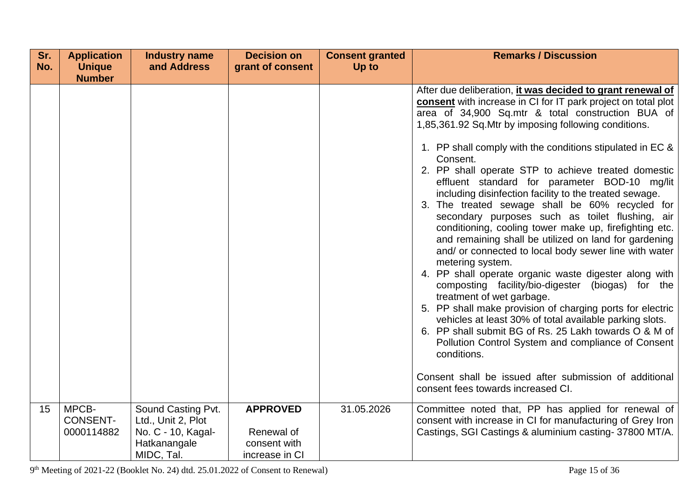| Sr. | <b>Application</b>             | <b>Industry name</b>                     | <b>Decision on</b>             | <b>Consent granted</b> | <b>Remarks / Discussion</b>                                                                                                                                                                                                                                                                                                                                                                                                                                                                                                                                                                                                                                                                                                                                                                                                                                                                                                                                                                                                                                                                                                                                                                 |
|-----|--------------------------------|------------------------------------------|--------------------------------|------------------------|---------------------------------------------------------------------------------------------------------------------------------------------------------------------------------------------------------------------------------------------------------------------------------------------------------------------------------------------------------------------------------------------------------------------------------------------------------------------------------------------------------------------------------------------------------------------------------------------------------------------------------------------------------------------------------------------------------------------------------------------------------------------------------------------------------------------------------------------------------------------------------------------------------------------------------------------------------------------------------------------------------------------------------------------------------------------------------------------------------------------------------------------------------------------------------------------|
| No. | <b>Unique</b><br><b>Number</b> | and Address                              | grant of consent               | Up to                  |                                                                                                                                                                                                                                                                                                                                                                                                                                                                                                                                                                                                                                                                                                                                                                                                                                                                                                                                                                                                                                                                                                                                                                                             |
|     |                                |                                          |                                |                        | After due deliberation, it was decided to grant renewal of<br>consent with increase in CI for IT park project on total plot<br>area of 34,900 Sq.mtr & total construction BUA of<br>1,85,361.92 Sq. Mtr by imposing following conditions.<br>1. PP shall comply with the conditions stipulated in EC &<br>Consent.<br>2. PP shall operate STP to achieve treated domestic<br>effluent standard for parameter BOD-10 mg/lit<br>including disinfection facility to the treated sewage.<br>3. The treated sewage shall be 60% recycled for<br>secondary purposes such as toilet flushing, air<br>conditioning, cooling tower make up, firefighting etc.<br>and remaining shall be utilized on land for gardening<br>and/ or connected to local body sewer line with water<br>metering system.<br>4. PP shall operate organic waste digester along with<br>composting facility/bio-digester (biogas) for the<br>treatment of wet garbage.<br>5. PP shall make provision of charging ports for electric<br>vehicles at least 30% of total available parking slots.<br>6. PP shall submit BG of Rs. 25 Lakh towards O & M of<br>Pollution Control System and compliance of Consent<br>conditions. |
|     |                                |                                          |                                |                        | Consent shall be issued after submission of additional<br>consent fees towards increased CI.                                                                                                                                                                                                                                                                                                                                                                                                                                                                                                                                                                                                                                                                                                                                                                                                                                                                                                                                                                                                                                                                                                |
|     |                                |                                          |                                |                        |                                                                                                                                                                                                                                                                                                                                                                                                                                                                                                                                                                                                                                                                                                                                                                                                                                                                                                                                                                                                                                                                                                                                                                                             |
| 15  | MPCB-<br><b>CONSENT-</b>       | Sound Casting Pvt.<br>Ltd., Unit 2, Plot | <b>APPROVED</b>                | 31.05.2026             | Committee noted that, PP has applied for renewal of<br>consent with increase in CI for manufacturing of Grey Iron                                                                                                                                                                                                                                                                                                                                                                                                                                                                                                                                                                                                                                                                                                                                                                                                                                                                                                                                                                                                                                                                           |
|     | 0000114882                     | No. C - 10, Kagal-                       | Renewal of                     |                        | Castings, SGI Castings & aluminium casting-37800 MT/A.                                                                                                                                                                                                                                                                                                                                                                                                                                                                                                                                                                                                                                                                                                                                                                                                                                                                                                                                                                                                                                                                                                                                      |
|     |                                | Hatkanangale<br>MIDC, Tal.               | consent with<br>increase in CI |                        |                                                                                                                                                                                                                                                                                                                                                                                                                                                                                                                                                                                                                                                                                                                                                                                                                                                                                                                                                                                                                                                                                                                                                                                             |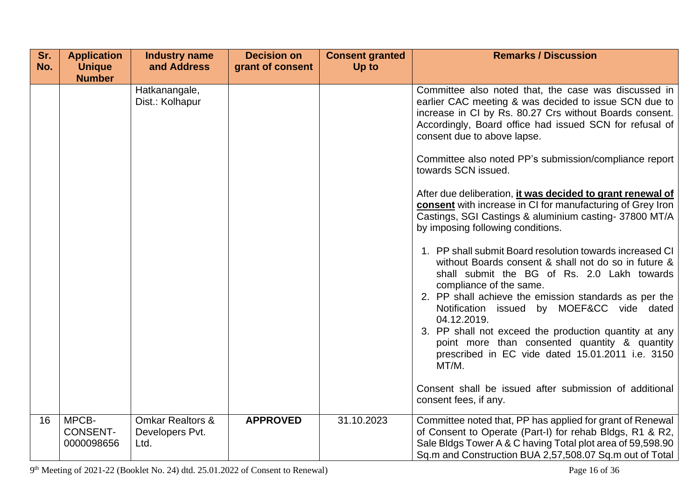| Sr. | <b>Application</b>                     | <b>Industry name</b>                                   | <b>Decision on</b> | <b>Consent granted</b> | <b>Remarks / Discussion</b>                                                                                                                                                                                                                                                                                                                                                                                                                                                                                                                                                                                                                |
|-----|----------------------------------------|--------------------------------------------------------|--------------------|------------------------|--------------------------------------------------------------------------------------------------------------------------------------------------------------------------------------------------------------------------------------------------------------------------------------------------------------------------------------------------------------------------------------------------------------------------------------------------------------------------------------------------------------------------------------------------------------------------------------------------------------------------------------------|
| No. | <b>Unique</b><br><b>Number</b>         | and Address                                            | grant of consent   | Up to                  |                                                                                                                                                                                                                                                                                                                                                                                                                                                                                                                                                                                                                                            |
|     |                                        | Hatkanangale,<br>Dist.: Kolhapur                       |                    |                        | Committee also noted that, the case was discussed in<br>earlier CAC meeting & was decided to issue SCN due to<br>increase in CI by Rs. 80.27 Crs without Boards consent.<br>Accordingly, Board office had issued SCN for refusal of<br>consent due to above lapse.<br>Committee also noted PP's submission/compliance report<br>towards SCN issued.<br>After due deliberation, it was decided to grant renewal of<br>consent with increase in CI for manufacturing of Grey Iron<br>Castings, SGI Castings & aluminium casting- 37800 MT/A<br>by imposing following conditions.<br>1. PP shall submit Board resolution towards increased CI |
|     |                                        |                                                        |                    |                        | without Boards consent & shall not do so in future &<br>shall submit the BG of Rs. 2.0 Lakh towards<br>compliance of the same.<br>2. PP shall achieve the emission standards as per the<br>Notification issued by MOEF&CC vide dated<br>04.12.2019.<br>3. PP shall not exceed the production quantity at any<br>point more than consented quantity & quantity<br>prescribed in EC vide dated 15.01.2011 i.e. 3150<br>MT/M.<br>Consent shall be issued after submission of additional<br>consent fees, if any.                                                                                                                              |
| 16  | MPCB-<br><b>CONSENT-</b><br>0000098656 | <b>Omkar Realtors &amp;</b><br>Developers Pvt.<br>Ltd. | <b>APPROVED</b>    | 31.10.2023             | Committee noted that, PP has applied for grant of Renewal<br>of Consent to Operate (Part-I) for rehab Bldgs, R1 & R2,<br>Sale Bldgs Tower A & C having Total plot area of 59,598.90<br>Sq.m and Construction BUA 2,57,508.07 Sq.m out of Total                                                                                                                                                                                                                                                                                                                                                                                             |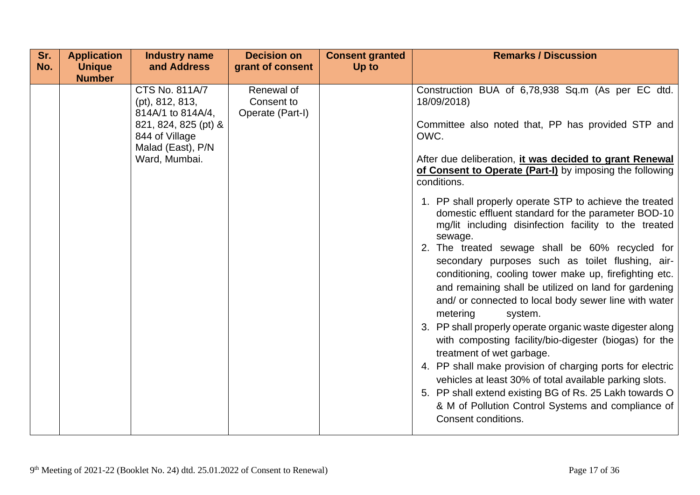| Sr.<br>No. | <b>Application</b><br><b>Unique</b> | <b>Industry name</b><br>and Address                                                                                                    | <b>Decision on</b><br>grant of consent       | <b>Consent granted</b><br>Up to | <b>Remarks / Discussion</b>                                                                                                                                                                                                                                                                                                                                                                                                                                                                                                                                                                                                                                                                                                                                                                                                                                                                                                                                                                                                                                                                                                                                                              |
|------------|-------------------------------------|----------------------------------------------------------------------------------------------------------------------------------------|----------------------------------------------|---------------------------------|------------------------------------------------------------------------------------------------------------------------------------------------------------------------------------------------------------------------------------------------------------------------------------------------------------------------------------------------------------------------------------------------------------------------------------------------------------------------------------------------------------------------------------------------------------------------------------------------------------------------------------------------------------------------------------------------------------------------------------------------------------------------------------------------------------------------------------------------------------------------------------------------------------------------------------------------------------------------------------------------------------------------------------------------------------------------------------------------------------------------------------------------------------------------------------------|
|            | <b>Number</b>                       |                                                                                                                                        |                                              |                                 |                                                                                                                                                                                                                                                                                                                                                                                                                                                                                                                                                                                                                                                                                                                                                                                                                                                                                                                                                                                                                                                                                                                                                                                          |
|            |                                     | CTS No. 811A/7<br>(pt), 812, 813,<br>814A/1 to 814A/4,<br>821, 824, 825 (pt) &<br>844 of Village<br>Malad (East), P/N<br>Ward, Mumbai. | Renewal of<br>Consent to<br>Operate (Part-I) |                                 | Construction BUA of 6,78,938 Sq.m (As per EC dtd.<br>18/09/2018)<br>Committee also noted that, PP has provided STP and<br>OWC.<br>After due deliberation, it was decided to grant Renewal<br>of Consent to Operate (Part-I) by imposing the following<br>conditions.<br>1. PP shall properly operate STP to achieve the treated<br>domestic effluent standard for the parameter BOD-10<br>mg/lit including disinfection facility to the treated<br>sewage.<br>2. The treated sewage shall be 60% recycled for<br>secondary purposes such as toilet flushing, air-<br>conditioning, cooling tower make up, firefighting etc.<br>and remaining shall be utilized on land for gardening<br>and/ or connected to local body sewer line with water<br>metering<br>system.<br>3. PP shall properly operate organic waste digester along<br>with composting facility/bio-digester (biogas) for the<br>treatment of wet garbage.<br>4. PP shall make provision of charging ports for electric<br>vehicles at least 30% of total available parking slots.<br>5. PP shall extend existing BG of Rs. 25 Lakh towards O<br>& M of Pollution Control Systems and compliance of<br>Consent conditions. |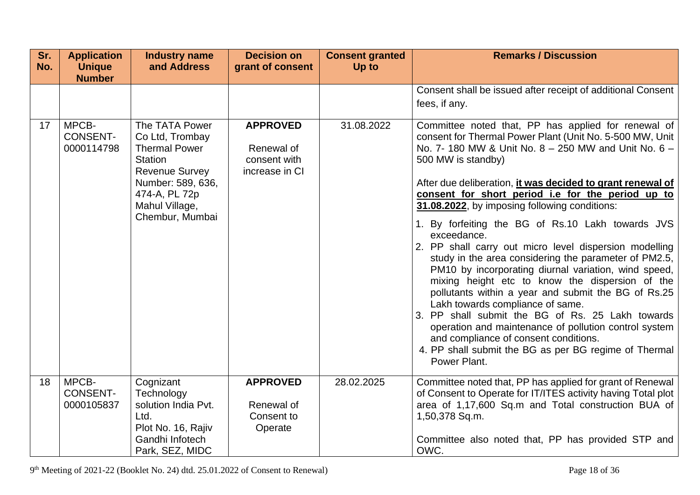| Sr.<br>No. | <b>Application</b><br><b>Unique</b><br><b>Number</b> | <b>Industry name</b><br>and Address                                                                                                                                      | <b>Decision on</b><br>grant of consent                          | <b>Consent granted</b><br>Up to | <b>Remarks / Discussion</b>                                                                                                                                                                                                                                                                                                                                                                                                                                                                                                                                                                                                                                                                                                                                                                                                                                                                                                                                                                  |
|------------|------------------------------------------------------|--------------------------------------------------------------------------------------------------------------------------------------------------------------------------|-----------------------------------------------------------------|---------------------------------|----------------------------------------------------------------------------------------------------------------------------------------------------------------------------------------------------------------------------------------------------------------------------------------------------------------------------------------------------------------------------------------------------------------------------------------------------------------------------------------------------------------------------------------------------------------------------------------------------------------------------------------------------------------------------------------------------------------------------------------------------------------------------------------------------------------------------------------------------------------------------------------------------------------------------------------------------------------------------------------------|
|            |                                                      |                                                                                                                                                                          |                                                                 |                                 | Consent shall be issued after receipt of additional Consent<br>fees, if any.                                                                                                                                                                                                                                                                                                                                                                                                                                                                                                                                                                                                                                                                                                                                                                                                                                                                                                                 |
| 17         | MPCB-<br><b>CONSENT-</b><br>0000114798               | The TATA Power<br>Co Ltd, Trombay<br><b>Thermal Power</b><br>Station<br><b>Revenue Survey</b><br>Number: 589, 636,<br>474-A, PL 72p<br>Mahul Village,<br>Chembur, Mumbai | <b>APPROVED</b><br>Renewal of<br>consent with<br>increase in CI | 31.08.2022                      | Committee noted that, PP has applied for renewal of<br>consent for Thermal Power Plant (Unit No. 5-500 MW, Unit<br>No. 7-180 MW & Unit No. 8 - 250 MW and Unit No. 6 -<br>500 MW is standby)<br>After due deliberation, it was decided to grant renewal of<br>consent for short period i.e for the period up to<br>31.08.2022, by imposing following conditions:<br>1. By forfeiting the BG of Rs.10 Lakh towards JVS<br>exceedance.<br>2. PP shall carry out micro level dispersion modelling<br>study in the area considering the parameter of PM2.5,<br>PM10 by incorporating diurnal variation, wind speed,<br>mixing height etc to know the dispersion of the<br>pollutants within a year and submit the BG of Rs.25<br>Lakh towards compliance of same.<br>3. PP shall submit the BG of Rs. 25 Lakh towards<br>operation and maintenance of pollution control system<br>and compliance of consent conditions.<br>4. PP shall submit the BG as per BG regime of Thermal<br>Power Plant. |
| 18         | MPCB-<br><b>CONSENT-</b><br>0000105837               | Cognizant<br>Technology<br>solution India Pvt.<br>Ltd.<br>Plot No. 16, Rajiv<br>Gandhi Infotech<br>Park, SEZ, MIDC                                                       | <b>APPROVED</b><br>Renewal of<br>Consent to<br>Operate          | 28.02.2025                      | Committee noted that, PP has applied for grant of Renewal<br>of Consent to Operate for IT/ITES activity having Total plot<br>area of 1,17,600 Sq.m and Total construction BUA of<br>1,50,378 Sq.m.<br>Committee also noted that, PP has provided STP and<br>OWC.                                                                                                                                                                                                                                                                                                                                                                                                                                                                                                                                                                                                                                                                                                                             |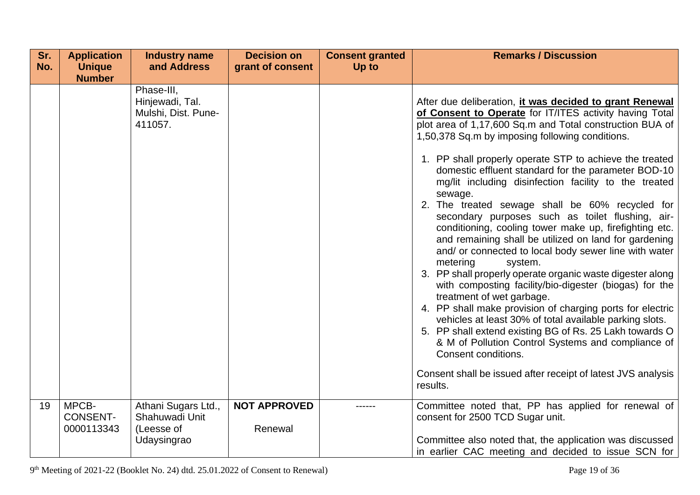| Sr.<br>No. | <b>Application</b><br><b>Unique</b>    | <b>Industry name</b><br>and Address                             | <b>Decision on</b><br>grant of consent | <b>Consent granted</b><br><b>Up to</b> | <b>Remarks / Discussion</b>                                                                                                                                                                                                                                                                                                                                                                                                                                                                                                                                                                                                                                             |
|------------|----------------------------------------|-----------------------------------------------------------------|----------------------------------------|----------------------------------------|-------------------------------------------------------------------------------------------------------------------------------------------------------------------------------------------------------------------------------------------------------------------------------------------------------------------------------------------------------------------------------------------------------------------------------------------------------------------------------------------------------------------------------------------------------------------------------------------------------------------------------------------------------------------------|
|            | <b>Number</b>                          |                                                                 |                                        |                                        |                                                                                                                                                                                                                                                                                                                                                                                                                                                                                                                                                                                                                                                                         |
|            |                                        | Phase-III,<br>Hinjewadi, Tal.<br>Mulshi, Dist. Pune-<br>411057. |                                        |                                        | After due deliberation, it was decided to grant Renewal<br>of Consent to Operate for IT/ITES activity having Total<br>plot area of 1,17,600 Sq.m and Total construction BUA of<br>1,50,378 Sq.m by imposing following conditions.<br>1. PP shall properly operate STP to achieve the treated<br>domestic effluent standard for the parameter BOD-10<br>mg/lit including disinfection facility to the treated<br>sewage.<br>2. The treated sewage shall be 60% recycled for                                                                                                                                                                                              |
|            |                                        |                                                                 |                                        |                                        | secondary purposes such as toilet flushing, air-<br>conditioning, cooling tower make up, firefighting etc.<br>and remaining shall be utilized on land for gardening<br>and/ or connected to local body sewer line with water<br>metering<br>system.<br>3. PP shall properly operate organic waste digester along<br>with composting facility/bio-digester (biogas) for the<br>treatment of wet garbage.<br>4. PP shall make provision of charging ports for electric<br>vehicles at least 30% of total available parking slots.<br>5. PP shall extend existing BG of Rs. 25 Lakh towards O<br>& M of Pollution Control Systems and compliance of<br>Consent conditions. |
|            |                                        |                                                                 |                                        |                                        | Consent shall be issued after receipt of latest JVS analysis<br>results.                                                                                                                                                                                                                                                                                                                                                                                                                                                                                                                                                                                                |
| 19         | MPCB-<br><b>CONSENT-</b><br>0000113343 | Athani Sugars Ltd.,<br>Shahuwadi Unit<br>(Leesse of             | <b>NOT APPROVED</b><br>Renewal         |                                        | Committee noted that, PP has applied for renewal of<br>consent for 2500 TCD Sugar unit.                                                                                                                                                                                                                                                                                                                                                                                                                                                                                                                                                                                 |
|            |                                        | Udaysingrao                                                     |                                        |                                        | Committee also noted that, the application was discussed<br>in earlier CAC meeting and decided to issue SCN for                                                                                                                                                                                                                                                                                                                                                                                                                                                                                                                                                         |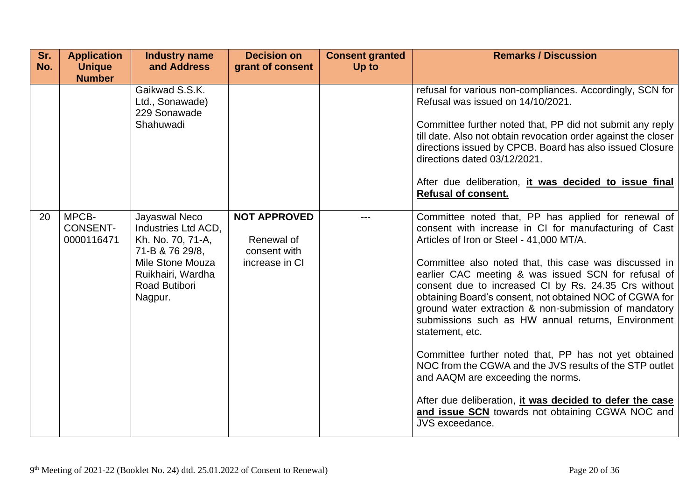| Sr.<br>No. | <b>Application</b><br><b>Unique</b><br><b>Number</b> | <b>Industry name</b><br>and Address                                                                                                               | <b>Decision on</b><br>grant of consent                              | <b>Consent granted</b><br>Up to | <b>Remarks / Discussion</b>                                                                                                                                                                                                                                                                                                                                                                                                                                                                                                                                                                                                                                                                                                                                                                                               |
|------------|------------------------------------------------------|---------------------------------------------------------------------------------------------------------------------------------------------------|---------------------------------------------------------------------|---------------------------------|---------------------------------------------------------------------------------------------------------------------------------------------------------------------------------------------------------------------------------------------------------------------------------------------------------------------------------------------------------------------------------------------------------------------------------------------------------------------------------------------------------------------------------------------------------------------------------------------------------------------------------------------------------------------------------------------------------------------------------------------------------------------------------------------------------------------------|
|            |                                                      | Gaikwad S.S.K.<br>Ltd., Sonawade)<br>229 Sonawade<br>Shahuwadi                                                                                    |                                                                     |                                 | refusal for various non-compliances. Accordingly, SCN for<br>Refusal was issued on 14/10/2021.<br>Committee further noted that, PP did not submit any reply<br>till date. Also not obtain revocation order against the closer<br>directions issued by CPCB. Board has also issued Closure<br>directions dated 03/12/2021.<br>After due deliberation, it was decided to issue final<br><b>Refusal of consent.</b>                                                                                                                                                                                                                                                                                                                                                                                                          |
| 20         | MPCB-<br><b>CONSENT-</b><br>0000116471               | Jayaswal Neco<br>Industries Ltd ACD,<br>Kh. No. 70, 71-A,<br>71-B & 76 29/8,<br>Mile Stone Mouza<br>Ruikhairi, Wardha<br>Road Butibori<br>Nagpur. | <b>NOT APPROVED</b><br>Renewal of<br>consent with<br>increase in CI |                                 | Committee noted that, PP has applied for renewal of<br>consent with increase in CI for manufacturing of Cast<br>Articles of Iron or Steel - 41,000 MT/A.<br>Committee also noted that, this case was discussed in<br>earlier CAC meeting & was issued SCN for refusal of<br>consent due to increased CI by Rs. 24.35 Crs without<br>obtaining Board's consent, not obtained NOC of CGWA for<br>ground water extraction & non-submission of mandatory<br>submissions such as HW annual returns, Environment<br>statement, etc.<br>Committee further noted that, PP has not yet obtained<br>NOC from the CGWA and the JVS results of the STP outlet<br>and AAQM are exceeding the norms.<br>After due deliberation, it was decided to defer the case<br>and issue SCN towards not obtaining CGWA NOC and<br>JVS exceedance. |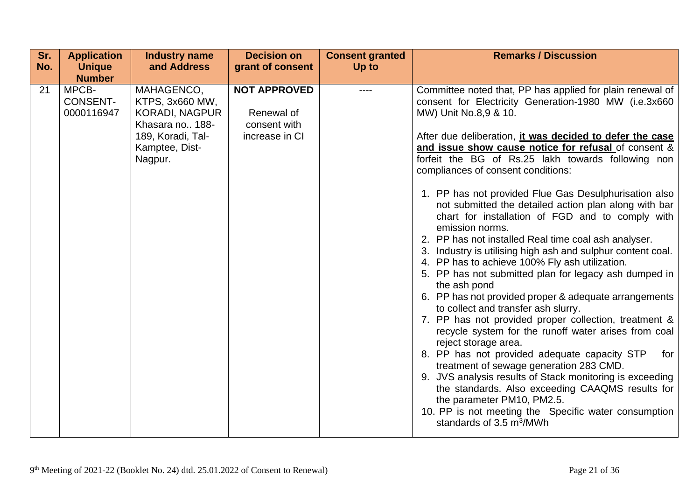| Sr.<br>No. | <b>Application</b><br><b>Unique</b><br><b>Number</b> | <b>Industry name</b><br>and Address                                                                                         | <b>Decision on</b><br>grant of consent                              | <b>Consent granted</b><br>Up to | <b>Remarks / Discussion</b>                                                                                                                                                                                                                                                                                                                                                                                                                                                                                                                                                                                                                                                                                                                                                                                                                                                                                                                                                                                                                                                                                                                                                                                                                                                                                                                                                                          |
|------------|------------------------------------------------------|-----------------------------------------------------------------------------------------------------------------------------|---------------------------------------------------------------------|---------------------------------|------------------------------------------------------------------------------------------------------------------------------------------------------------------------------------------------------------------------------------------------------------------------------------------------------------------------------------------------------------------------------------------------------------------------------------------------------------------------------------------------------------------------------------------------------------------------------------------------------------------------------------------------------------------------------------------------------------------------------------------------------------------------------------------------------------------------------------------------------------------------------------------------------------------------------------------------------------------------------------------------------------------------------------------------------------------------------------------------------------------------------------------------------------------------------------------------------------------------------------------------------------------------------------------------------------------------------------------------------------------------------------------------------|
| 21         | MPCB-<br><b>CONSENT-</b><br>0000116947               | MAHAGENCO,<br>KTPS, 3x660 MW,<br><b>KORADI, NAGPUR</b><br>Khasara no 188-<br>189, Koradi, Tal-<br>Kamptee, Dist-<br>Nagpur. | <b>NOT APPROVED</b><br>Renewal of<br>consent with<br>increase in CI |                                 | Committee noted that, PP has applied for plain renewal of<br>consent for Electricity Generation-1980 MW (i.e.3x660<br>MW) Unit No.8,9 & 10.<br>After due deliberation, it was decided to defer the case<br>and issue show cause notice for refusal of consent &<br>forfeit the BG of Rs.25 lakh towards following non<br>compliances of consent conditions:<br>1. PP has not provided Flue Gas Desulphurisation also<br>not submitted the detailed action plan along with bar<br>chart for installation of FGD and to comply with<br>emission norms.<br>2. PP has not installed Real time coal ash analyser.<br>3. Industry is utilising high ash and sulphur content coal.<br>4. PP has to achieve 100% Fly ash utilization.<br>5. PP has not submitted plan for legacy ash dumped in<br>the ash pond<br>6. PP has not provided proper & adequate arrangements<br>to collect and transfer ash slurry.<br>7. PP has not provided proper collection, treatment &<br>recycle system for the runoff water arises from coal<br>reject storage area.<br>8. PP has not provided adequate capacity STP<br>for<br>treatment of sewage generation 283 CMD.<br>9. JVS analysis results of Stack monitoring is exceeding<br>the standards. Also exceeding CAAQMS results for<br>the parameter PM10, PM2.5.<br>10. PP is not meeting the Specific water consumption<br>standards of $3.5 \text{ m}^3/\text{MWh}$ |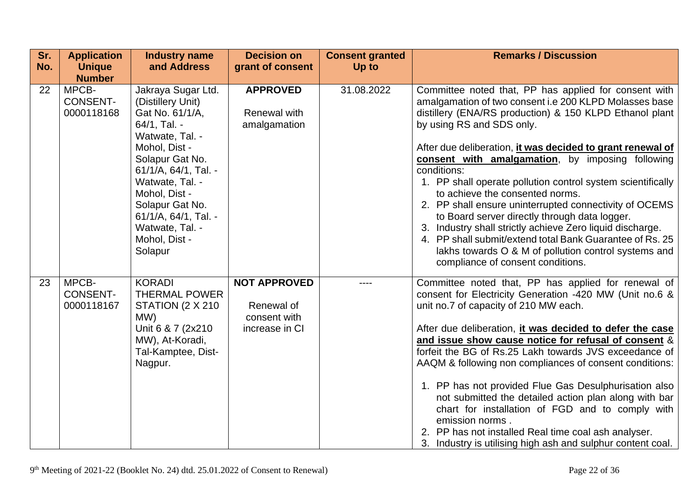| Sr.<br>No. | <b>Application</b><br><b>Unique</b><br><b>Number</b> | <b>Industry name</b><br>and Address                                                                                                                                   | <b>Decision on</b><br>grant of consent                              | <b>Consent granted</b><br>Up to | <b>Remarks / Discussion</b>                                                                                                                                                                                                                                                                                                                                                                                                                                                                                                                                                                                                                                                                                      |
|------------|------------------------------------------------------|-----------------------------------------------------------------------------------------------------------------------------------------------------------------------|---------------------------------------------------------------------|---------------------------------|------------------------------------------------------------------------------------------------------------------------------------------------------------------------------------------------------------------------------------------------------------------------------------------------------------------------------------------------------------------------------------------------------------------------------------------------------------------------------------------------------------------------------------------------------------------------------------------------------------------------------------------------------------------------------------------------------------------|
| 22         | MPCB-<br><b>CONSENT-</b><br>0000118168               | Jakraya Sugar Ltd.<br>(Distillery Unit)<br>Gat No. 61/1/A,<br>64/1, Tal. -<br>Watwate, Tal. -<br>Mohol, Dist -                                                        | <b>APPROVED</b><br>Renewal with<br>amalgamation                     | 31.08.2022                      | Committee noted that, PP has applied for consent with<br>amalgamation of two consent i.e 200 KLPD Molasses base<br>distillery (ENA/RS production) & 150 KLPD Ethanol plant<br>by using RS and SDS only.<br>After due deliberation, it was decided to grant renewal of                                                                                                                                                                                                                                                                                                                                                                                                                                            |
|            |                                                      | Solapur Gat No.<br>61/1/A, 64/1, Tal. -<br>Watwate, Tal. -<br>Mohol, Dist -<br>Solapur Gat No.<br>61/1/A, 64/1, Tal. -<br>Watwate, Tal. -<br>Mohol, Dist -<br>Solapur |                                                                     |                                 | consent with amalgamation, by imposing following<br>conditions:<br>1. PP shall operate pollution control system scientifically<br>to achieve the consented norms.<br>2. PP shall ensure uninterrupted connectivity of OCEMS<br>to Board server directly through data logger.<br>3. Industry shall strictly achieve Zero liquid discharge.<br>4. PP shall submit/extend total Bank Guarantee of Rs. 25<br>lakhs towards O & M of pollution control systems and<br>compliance of consent conditions.                                                                                                                                                                                                               |
| 23         | MPCB-<br><b>CONSENT-</b><br>0000118167               | <b>KORADI</b><br><b>THERMAL POWER</b><br>STATION (2 X 210)<br>MW)<br>Unit 6 & 7 (2x210)<br>MW), At-Koradi,<br>Tal-Kamptee, Dist-<br>Nagpur.                           | <b>NOT APPROVED</b><br>Renewal of<br>consent with<br>increase in CI |                                 | Committee noted that, PP has applied for renewal of<br>consent for Electricity Generation -420 MW (Unit no.6 &<br>unit no.7 of capacity of 210 MW each.<br>After due deliberation, it was decided to defer the case<br>and issue show cause notice for refusal of consent &<br>forfeit the BG of Rs.25 Lakh towards JVS exceedance of<br>AAQM & following non compliances of consent conditions:<br>1. PP has not provided Flue Gas Desulphurisation also<br>not submitted the detailed action plan along with bar<br>chart for installation of FGD and to comply with<br>emission norms.<br>2. PP has not installed Real time coal ash analyser.<br>3. Industry is utilising high ash and sulphur content coal. |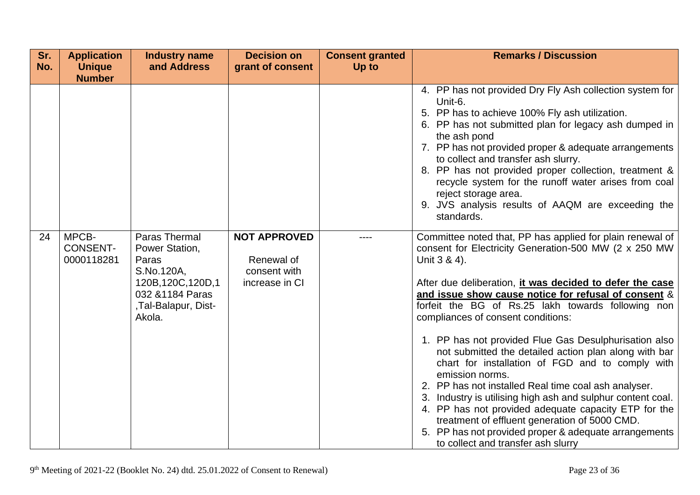| Sr.<br>No. | <b>Application</b><br><b>Unique</b><br><b>Number</b> | <b>Industry name</b><br>and Address                                                                                                | <b>Decision on</b><br>grant of consent                              | <b>Consent granted</b><br>Up to | <b>Remarks / Discussion</b>                                                                                                                                                                                                                                                                                                                                                                                                                                                                                                                                                                                                                                                                                                                                                                                                                                                |
|------------|------------------------------------------------------|------------------------------------------------------------------------------------------------------------------------------------|---------------------------------------------------------------------|---------------------------------|----------------------------------------------------------------------------------------------------------------------------------------------------------------------------------------------------------------------------------------------------------------------------------------------------------------------------------------------------------------------------------------------------------------------------------------------------------------------------------------------------------------------------------------------------------------------------------------------------------------------------------------------------------------------------------------------------------------------------------------------------------------------------------------------------------------------------------------------------------------------------|
|            |                                                      |                                                                                                                                    |                                                                     |                                 | 4. PP has not provided Dry Fly Ash collection system for<br>Unit-6.<br>5. PP has to achieve 100% Fly ash utilization.<br>6. PP has not submitted plan for legacy ash dumped in<br>the ash pond<br>7. PP has not provided proper & adequate arrangements<br>to collect and transfer ash slurry.<br>8. PP has not provided proper collection, treatment &<br>recycle system for the runoff water arises from coal<br>reject storage area.<br>9. JVS analysis results of AAQM are exceeding the<br>standards.                                                                                                                                                                                                                                                                                                                                                                 |
| 24         | MPCB-<br><b>CONSENT-</b><br>0000118281               | Paras Thermal<br>Power Station,<br>Paras<br>S.No.120A,<br>120B, 120C, 120D, 1<br>032 & 1184 Paras<br>,Tal-Balapur, Dist-<br>Akola. | <b>NOT APPROVED</b><br>Renewal of<br>consent with<br>increase in CI |                                 | Committee noted that, PP has applied for plain renewal of<br>consent for Electricity Generation-500 MW (2 x 250 MW<br>Unit 3 & 4).<br>After due deliberation, it was decided to defer the case<br>and issue show cause notice for refusal of consent &<br>forfeit the BG of Rs.25 lakh towards following non<br>compliances of consent conditions:<br>1. PP has not provided Flue Gas Desulphurisation also<br>not submitted the detailed action plan along with bar<br>chart for installation of FGD and to comply with<br>emission norms.<br>2. PP has not installed Real time coal ash analyser.<br>3. Industry is utilising high ash and sulphur content coal.<br>4. PP has not provided adequate capacity ETP for the<br>treatment of effluent generation of 5000 CMD.<br>5. PP has not provided proper & adequate arrangements<br>to collect and transfer ash slurry |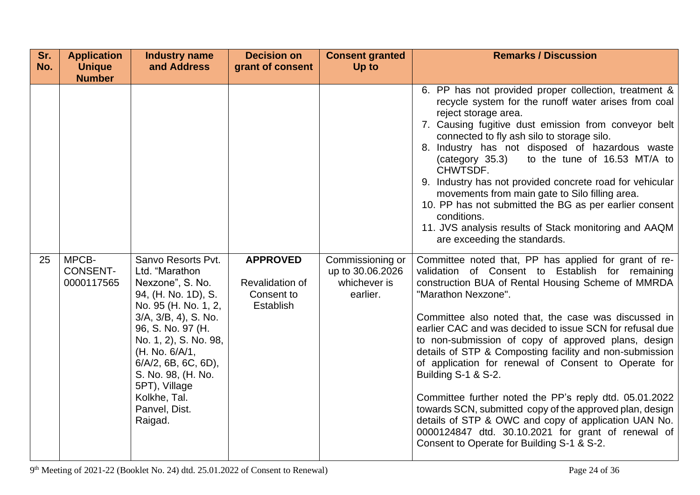| Sr.<br>No. | <b>Application</b><br><b>Unique</b><br><b>Number</b> | <b>Industry name</b><br>and Address                                                                                                                                                                                                                                                                                   | <b>Decision on</b><br>grant of consent                        | <b>Consent granted</b><br>Up to                                  | <b>Remarks / Discussion</b>                                                                                                                                                                                                                                                                                                                                                                                                                                                                                                                                                                                                                                                                                                                                                                   |
|------------|------------------------------------------------------|-----------------------------------------------------------------------------------------------------------------------------------------------------------------------------------------------------------------------------------------------------------------------------------------------------------------------|---------------------------------------------------------------|------------------------------------------------------------------|-----------------------------------------------------------------------------------------------------------------------------------------------------------------------------------------------------------------------------------------------------------------------------------------------------------------------------------------------------------------------------------------------------------------------------------------------------------------------------------------------------------------------------------------------------------------------------------------------------------------------------------------------------------------------------------------------------------------------------------------------------------------------------------------------|
|            |                                                      |                                                                                                                                                                                                                                                                                                                       |                                                               |                                                                  | 6. PP has not provided proper collection, treatment &<br>recycle system for the runoff water arises from coal<br>reject storage area.<br>7. Causing fugitive dust emission from conveyor belt<br>connected to fly ash silo to storage silo.<br>8. Industry has not disposed of hazardous waste<br>to the tune of 16.53 MT/A to<br>(category 35.3)<br>CHWTSDF.<br>9. Industry has not provided concrete road for vehicular<br>movements from main gate to Silo filling area.<br>10. PP has not submitted the BG as per earlier consent<br>conditions.<br>11. JVS analysis results of Stack monitoring and AAQM<br>are exceeding the standards.                                                                                                                                                 |
| 25         | MPCB-<br><b>CONSENT-</b><br>0000117565               | Sanvo Resorts Pvt.<br>Ltd. "Marathon<br>Nexzone", S. No.<br>94, (H. No. 1D), S.<br>No. 95 (H. No. 1, 2,<br>$3/A$ , $3/B$ , $4$ ), S. No.<br>96, S. No. 97 (H.<br>No. 1, 2), S. No. 98,<br>(H. No. 6/A/1,<br>$6/A/2$ , 6B, 6C, 6D),<br>S. No. 98, (H. No.<br>5PT), Village<br>Kolkhe, Tal.<br>Panvel, Dist.<br>Raigad. | <b>APPROVED</b><br>Revalidation of<br>Consent to<br>Establish | Commissioning or<br>up to 30.06.2026<br>whichever is<br>earlier. | Committee noted that, PP has applied for grant of re-<br>validation of Consent to Establish for remaining<br>construction BUA of Rental Housing Scheme of MMRDA<br>"Marathon Nexzone".<br>Committee also noted that, the case was discussed in<br>earlier CAC and was decided to issue SCN for refusal due<br>to non-submission of copy of approved plans, design<br>details of STP & Composting facility and non-submission<br>of application for renewal of Consent to Operate for<br>Building S-1 & S-2.<br>Committee further noted the PP's reply dtd. 05.01.2022<br>towards SCN, submitted copy of the approved plan, design<br>details of STP & OWC and copy of application UAN No.<br>0000124847 dtd. 30.10.2021 for grant of renewal of<br>Consent to Operate for Building S-1 & S-2. |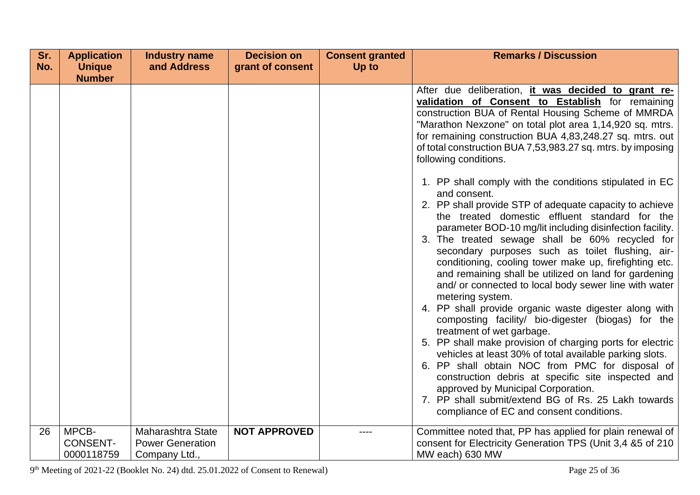| Sr. | <b>Application</b>                     | <b>Industry name</b>                                          | <b>Decision on</b>  | <b>Consent granted</b> | <b>Remarks / Discussion</b>                                                                                                                                                                                                                                                                                                                                                                                                                                                                                                                                                                                                                                                                                                                                                                                                                                                                                                                                                                                                                                                   |
|-----|----------------------------------------|---------------------------------------------------------------|---------------------|------------------------|-------------------------------------------------------------------------------------------------------------------------------------------------------------------------------------------------------------------------------------------------------------------------------------------------------------------------------------------------------------------------------------------------------------------------------------------------------------------------------------------------------------------------------------------------------------------------------------------------------------------------------------------------------------------------------------------------------------------------------------------------------------------------------------------------------------------------------------------------------------------------------------------------------------------------------------------------------------------------------------------------------------------------------------------------------------------------------|
| No. | <b>Unique</b><br><b>Number</b>         | and Address                                                   | grant of consent    | Up to                  |                                                                                                                                                                                                                                                                                                                                                                                                                                                                                                                                                                                                                                                                                                                                                                                                                                                                                                                                                                                                                                                                               |
|     |                                        |                                                               |                     |                        | After due deliberation, it was decided to grant re-<br>validation of Consent to Establish for remaining<br>construction BUA of Rental Housing Scheme of MMRDA<br>"Marathon Nexzone" on total plot area 1,14,920 sq. mtrs.<br>for remaining construction BUA 4,83,248.27 sq. mtrs. out<br>of total construction BUA 7,53,983.27 sq. mtrs. by imposing<br>following conditions.                                                                                                                                                                                                                                                                                                                                                                                                                                                                                                                                                                                                                                                                                                 |
|     |                                        |                                                               |                     |                        | 1. PP shall comply with the conditions stipulated in EC<br>and consent.<br>2. PP shall provide STP of adequate capacity to achieve<br>the treated domestic effluent standard for the<br>parameter BOD-10 mg/lit including disinfection facility.<br>3. The treated sewage shall be 60% recycled for<br>secondary purposes such as toilet flushing, air-<br>conditioning, cooling tower make up, firefighting etc.<br>and remaining shall be utilized on land for gardening<br>and/ or connected to local body sewer line with water<br>metering system.<br>4. PP shall provide organic waste digester along with<br>composting facility/ bio-digester (biogas) for the<br>treatment of wet garbage.<br>5. PP shall make provision of charging ports for electric<br>vehicles at least 30% of total available parking slots.<br>6. PP shall obtain NOC from PMC for disposal of<br>construction debris at specific site inspected and<br>approved by Municipal Corporation.<br>7. PP shall submit/extend BG of Rs. 25 Lakh towards<br>compliance of EC and consent conditions. |
| 26  | MPCB-<br><b>CONSENT-</b><br>0000118759 | Maharashtra State<br><b>Power Generation</b><br>Company Ltd., | <b>NOT APPROVED</b> |                        | Committee noted that, PP has applied for plain renewal of<br>consent for Electricity Generation TPS (Unit 3,4 &5 of 210<br>MW each) 630 MW                                                                                                                                                                                                                                                                                                                                                                                                                                                                                                                                                                                                                                                                                                                                                                                                                                                                                                                                    |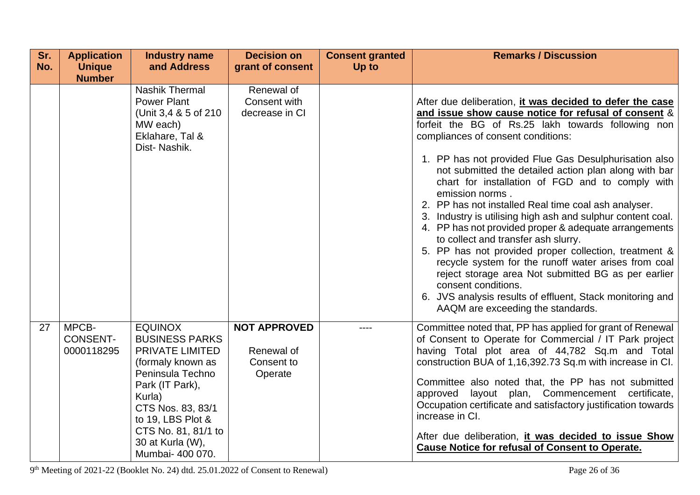| Sr.<br>No. | <b>Application</b><br><b>Unique</b>    | <b>Industry name</b><br>and Address                                                                                                                                                                                                       | <b>Decision on</b><br>grant of consent                     | <b>Consent granted</b><br>Up to | <b>Remarks / Discussion</b>                                                                                                                                                                                                                                                                                                                                                                                                                                                                                                                                                                                                                                                                                                                                                                                                                                                                                                   |
|------------|----------------------------------------|-------------------------------------------------------------------------------------------------------------------------------------------------------------------------------------------------------------------------------------------|------------------------------------------------------------|---------------------------------|-------------------------------------------------------------------------------------------------------------------------------------------------------------------------------------------------------------------------------------------------------------------------------------------------------------------------------------------------------------------------------------------------------------------------------------------------------------------------------------------------------------------------------------------------------------------------------------------------------------------------------------------------------------------------------------------------------------------------------------------------------------------------------------------------------------------------------------------------------------------------------------------------------------------------------|
|            | <b>Number</b>                          |                                                                                                                                                                                                                                           |                                                            |                                 |                                                                                                                                                                                                                                                                                                                                                                                                                                                                                                                                                                                                                                                                                                                                                                                                                                                                                                                               |
|            |                                        | <b>Nashik Thermal</b><br><b>Power Plant</b><br>(Unit 3,4 & 5 of 210)<br>MW each)<br>Eklahare, Tal &<br>Dist-Nashik.                                                                                                                       | Renewal of<br>Consent with<br>decrease in CI               |                                 | After due deliberation, it was decided to defer the case<br>and issue show cause notice for refusal of consent &<br>forfeit the BG of Rs.25 lakh towards following non<br>compliances of consent conditions:<br>1. PP has not provided Flue Gas Desulphurisation also<br>not submitted the detailed action plan along with bar<br>chart for installation of FGD and to comply with<br>emission norms.<br>2. PP has not installed Real time coal ash analyser.<br>3. Industry is utilising high ash and sulphur content coal.<br>4. PP has not provided proper & adequate arrangements<br>to collect and transfer ash slurry.<br>5. PP has not provided proper collection, treatment &<br>recycle system for the runoff water arises from coal<br>reject storage area Not submitted BG as per earlier<br>consent conditions.<br>6. JVS analysis results of effluent, Stack monitoring and<br>AAQM are exceeding the standards. |
| 27         | MPCB-<br><b>CONSENT-</b><br>0000118295 | <b>EQUINOX</b><br><b>BUSINESS PARKS</b><br>PRIVATE LIMITED<br>(formaly known as<br>Peninsula Techno<br>Park (IT Park),<br>Kurla)<br>CTS Nos. 83, 83/1<br>to 19, LBS Plot &<br>CTS No. 81, 81/1 to<br>30 at Kurla (W),<br>Mumbai- 400 070. | <b>NOT APPROVED</b><br>Renewal of<br>Consent to<br>Operate |                                 | Committee noted that, PP has applied for grant of Renewal<br>of Consent to Operate for Commercial / IT Park project<br>having Total plot area of 44,782 Sq.m and Total<br>construction BUA of 1,16,392.73 Sq.m with increase in CI.<br>Committee also noted that, the PP has not submitted<br>approved layout plan, Commencement certificate,<br>Occupation certificate and satisfactory justification towards<br>increase in CI.<br>After due deliberation, it was decided to issue Show<br><b>Cause Notice for refusal of Consent to Operate.</b>                                                                                                                                                                                                                                                                                                                                                                           |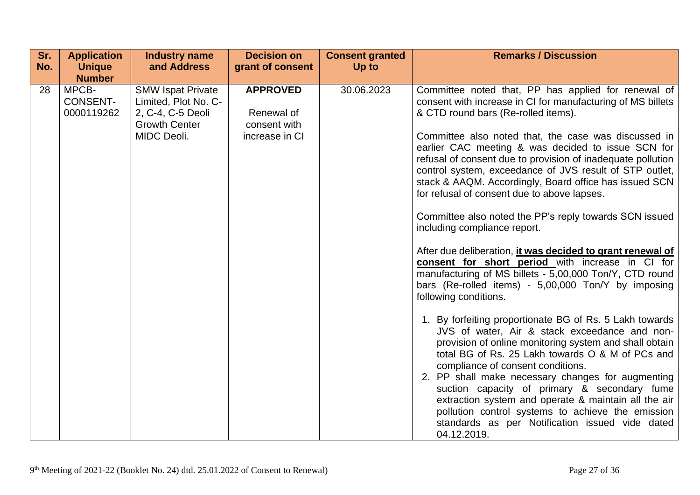| Sr.<br>No. | <b>Application</b><br><b>Unique</b>    | <b>Industry name</b><br>and Address                                                                          | <b>Decision on</b><br>grant of consent                          | <b>Consent granted</b><br>Up to | <b>Remarks / Discussion</b>                                                                                                                                                                                                                                                                                                                                                                                                                                                                                                                     |
|------------|----------------------------------------|--------------------------------------------------------------------------------------------------------------|-----------------------------------------------------------------|---------------------------------|-------------------------------------------------------------------------------------------------------------------------------------------------------------------------------------------------------------------------------------------------------------------------------------------------------------------------------------------------------------------------------------------------------------------------------------------------------------------------------------------------------------------------------------------------|
|            | <b>Number</b>                          |                                                                                                              |                                                                 |                                 |                                                                                                                                                                                                                                                                                                                                                                                                                                                                                                                                                 |
| 28         | MPCB-<br><b>CONSENT-</b><br>0000119262 | <b>SMW Ispat Private</b><br>Limited, Plot No. C-<br>2, C-4, C-5 Deoli<br><b>Growth Center</b><br>MIDC Deoli. | <b>APPROVED</b><br>Renewal of<br>consent with<br>increase in CI | 30.06.2023                      | Committee noted that, PP has applied for renewal of<br>consent with increase in CI for manufacturing of MS billets<br>& CTD round bars (Re-rolled items).<br>Committee also noted that, the case was discussed in<br>earlier CAC meeting & was decided to issue SCN for<br>refusal of consent due to provision of inadequate pollution<br>control system, exceedance of JVS result of STP outlet,<br>stack & AAQM. Accordingly, Board office has issued SCN                                                                                     |
|            |                                        |                                                                                                              |                                                                 |                                 | for refusal of consent due to above lapses.<br>Committee also noted the PP's reply towards SCN issued<br>including compliance report.<br>After due deliberation, it was decided to grant renewal of<br>consent for short period with increase in CI for<br>manufacturing of MS billets - 5,00,000 Ton/Y, CTD round<br>bars (Re-rolled items) - 5,00,000 Ton/Y by imposing<br>following conditions.                                                                                                                                              |
|            |                                        |                                                                                                              |                                                                 |                                 | 1. By forfeiting proportionate BG of Rs. 5 Lakh towards<br>JVS of water, Air & stack exceedance and non-<br>provision of online monitoring system and shall obtain<br>total BG of Rs. 25 Lakh towards O & M of PCs and<br>compliance of consent conditions.<br>2. PP shall make necessary changes for augmenting<br>suction capacity of primary & secondary fume<br>extraction system and operate & maintain all the air<br>pollution control systems to achieve the emission<br>standards as per Notification issued vide dated<br>04.12.2019. |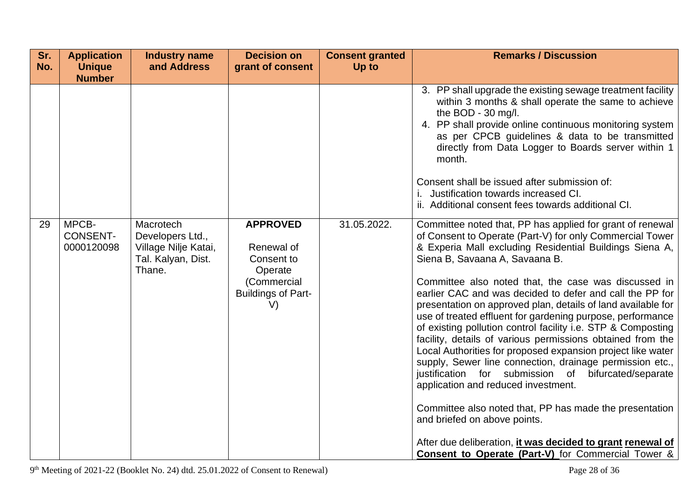| Sr.<br>No. | <b>Application</b><br><b>Unique</b>    | <b>Industry name</b><br>and Address                                                   | <b>Decision on</b><br>grant of consent                                                                   | <b>Consent granted</b><br>Up to | <b>Remarks / Discussion</b>                                                                                                                                                                                                                                                                                                                                                                                                                                                                                                                                                                                                                                                                                                                                                                                                                                                                                                                                                                                                                       |
|------------|----------------------------------------|---------------------------------------------------------------------------------------|----------------------------------------------------------------------------------------------------------|---------------------------------|---------------------------------------------------------------------------------------------------------------------------------------------------------------------------------------------------------------------------------------------------------------------------------------------------------------------------------------------------------------------------------------------------------------------------------------------------------------------------------------------------------------------------------------------------------------------------------------------------------------------------------------------------------------------------------------------------------------------------------------------------------------------------------------------------------------------------------------------------------------------------------------------------------------------------------------------------------------------------------------------------------------------------------------------------|
|            | <b>Number</b>                          |                                                                                       |                                                                                                          |                                 | 3. PP shall upgrade the existing sewage treatment facility<br>within 3 months & shall operate the same to achieve<br>the BOD - 30 mg/l.<br>4. PP shall provide online continuous monitoring system<br>as per CPCB guidelines & data to be transmitted<br>directly from Data Logger to Boards server within 1<br>month.<br>Consent shall be issued after submission of:<br>Justification towards increased CI.<br>ii. Additional consent fees towards additional CI.                                                                                                                                                                                                                                                                                                                                                                                                                                                                                                                                                                               |
| 29         | MPCB-<br><b>CONSENT-</b><br>0000120098 | Macrotech<br>Developers Ltd.,<br>Village Nilje Katai,<br>Tal. Kalyan, Dist.<br>Thane. | <b>APPROVED</b><br>Renewal of<br>Consent to<br>Operate<br>(Commercial<br><b>Buildings of Part-</b><br>V) | 31.05.2022.                     | Committee noted that, PP has applied for grant of renewal<br>of Consent to Operate (Part-V) for only Commercial Tower<br>& Experia Mall excluding Residential Buildings Siena A,<br>Siena B, Savaana A, Savaana B.<br>Committee also noted that, the case was discussed in<br>earlier CAC and was decided to defer and call the PP for<br>presentation on approved plan, details of land available for<br>use of treated effluent for gardening purpose, performance<br>of existing pollution control facility i.e. STP & Composting<br>facility, details of various permissions obtained from the<br>Local Authorities for proposed expansion project like water<br>supply, Sewer line connection, drainage permission etc.,<br>justification for submission of bifurcated/separate<br>application and reduced investment.<br>Committee also noted that, PP has made the presentation<br>and briefed on above points.<br>After due deliberation, it was decided to grant renewal of<br><b>Consent to Operate (Part-V)</b> for Commercial Tower & |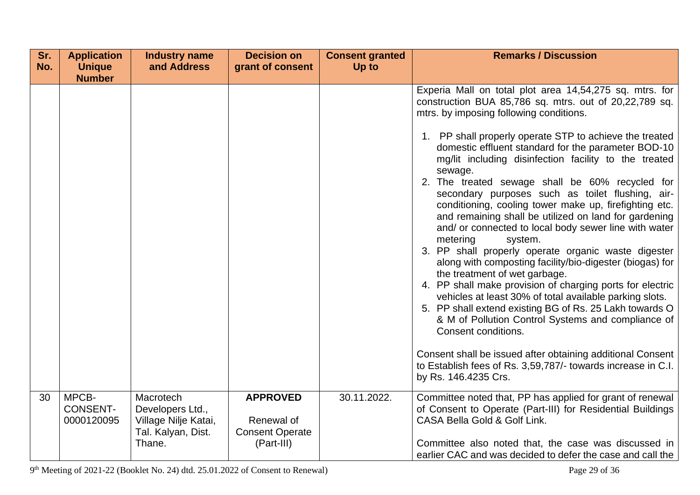| Sr. | <b>Application</b>                     | <b>Industry name</b>                                                        | <b>Decision on</b>                                      | <b>Consent granted</b> | <b>Remarks / Discussion</b>                                                                                                                                                                                                                                                                                                                                                                                                                                                                                                                                                                                                                                                                                                                                                                                                                                                                                                                                                                                                                                                                                                                                                                                                            |
|-----|----------------------------------------|-----------------------------------------------------------------------------|---------------------------------------------------------|------------------------|----------------------------------------------------------------------------------------------------------------------------------------------------------------------------------------------------------------------------------------------------------------------------------------------------------------------------------------------------------------------------------------------------------------------------------------------------------------------------------------------------------------------------------------------------------------------------------------------------------------------------------------------------------------------------------------------------------------------------------------------------------------------------------------------------------------------------------------------------------------------------------------------------------------------------------------------------------------------------------------------------------------------------------------------------------------------------------------------------------------------------------------------------------------------------------------------------------------------------------------|
| No. | <b>Unique</b><br><b>Number</b>         | and Address                                                                 | grant of consent                                        | Up to                  |                                                                                                                                                                                                                                                                                                                                                                                                                                                                                                                                                                                                                                                                                                                                                                                                                                                                                                                                                                                                                                                                                                                                                                                                                                        |
|     |                                        |                                                                             |                                                         |                        | Experia Mall on total plot area 14,54,275 sq. mtrs. for<br>construction BUA 85,786 sq. mtrs. out of 20,22,789 sq.<br>mtrs. by imposing following conditions.<br>1. PP shall properly operate STP to achieve the treated<br>domestic effluent standard for the parameter BOD-10<br>mg/lit including disinfection facility to the treated<br>sewage.<br>2. The treated sewage shall be 60% recycled for<br>secondary purposes such as toilet flushing, air-<br>conditioning, cooling tower make up, firefighting etc.<br>and remaining shall be utilized on land for gardening<br>and/ or connected to local body sewer line with water<br>metering<br>system.<br>3. PP shall properly operate organic waste digester<br>along with composting facility/bio-digester (biogas) for<br>the treatment of wet garbage.<br>4. PP shall make provision of charging ports for electric<br>vehicles at least 30% of total available parking slots.<br>5. PP shall extend existing BG of Rs. 25 Lakh towards O<br>& M of Pollution Control Systems and compliance of<br>Consent conditions.<br>Consent shall be issued after obtaining additional Consent<br>to Establish fees of Rs. 3,59,787/- towards increase in C.I.<br>by Rs. 146.4235 Crs. |
|     |                                        |                                                                             |                                                         |                        |                                                                                                                                                                                                                                                                                                                                                                                                                                                                                                                                                                                                                                                                                                                                                                                                                                                                                                                                                                                                                                                                                                                                                                                                                                        |
| 30  | MPCB-<br><b>CONSENT-</b><br>0000120095 | Macrotech<br>Developers Ltd.,<br>Village Nilje Katai,<br>Tal. Kalyan, Dist. | <b>APPROVED</b><br>Renewal of<br><b>Consent Operate</b> | 30.11.2022.            | Committee noted that, PP has applied for grant of renewal<br>of Consent to Operate (Part-III) for Residential Buildings<br>CASA Bella Gold & Golf Link.                                                                                                                                                                                                                                                                                                                                                                                                                                                                                                                                                                                                                                                                                                                                                                                                                                                                                                                                                                                                                                                                                |
|     |                                        | Thane.                                                                      | (Part-III)                                              |                        | Committee also noted that, the case was discussed in<br>earlier CAC and was decided to defer the case and call the                                                                                                                                                                                                                                                                                                                                                                                                                                                                                                                                                                                                                                                                                                                                                                                                                                                                                                                                                                                                                                                                                                                     |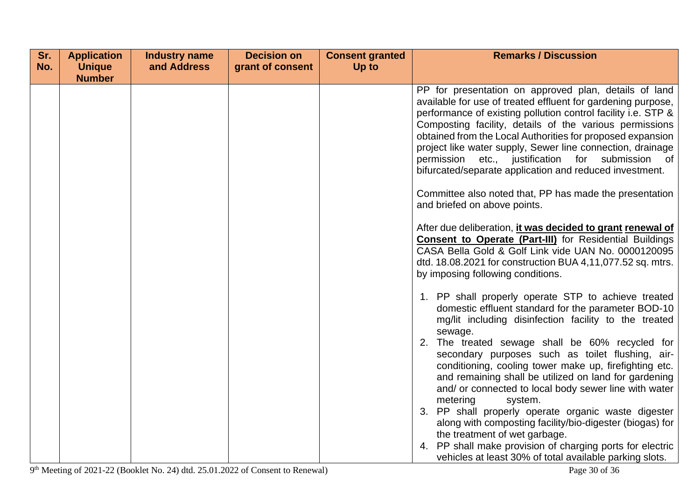| Sr. | <b>Application</b> | <b>Industry name</b> | <b>Decision on</b> | <b>Consent granted</b> | <b>Remarks / Discussion</b>                                                                                                                                                                                                                                                                                                                                                                                                                                                                                                                                                                                                                                                                                                                                                                                                                                                                                                    |
|-----|--------------------|----------------------|--------------------|------------------------|--------------------------------------------------------------------------------------------------------------------------------------------------------------------------------------------------------------------------------------------------------------------------------------------------------------------------------------------------------------------------------------------------------------------------------------------------------------------------------------------------------------------------------------------------------------------------------------------------------------------------------------------------------------------------------------------------------------------------------------------------------------------------------------------------------------------------------------------------------------------------------------------------------------------------------|
| No. | <b>Unique</b>      | and Address          | grant of consent   | Up to                  |                                                                                                                                                                                                                                                                                                                                                                                                                                                                                                                                                                                                                                                                                                                                                                                                                                                                                                                                |
|     | <b>Number</b>      |                      |                    |                        | PP for presentation on approved plan, details of land<br>available for use of treated effluent for gardening purpose,<br>performance of existing pollution control facility i.e. STP &<br>Composting facility, details of the various permissions<br>obtained from the Local Authorities for proposed expansion<br>project like water supply, Sewer line connection, drainage<br>permission etc., justification for submission of<br>bifurcated/separate application and reduced investment.<br>Committee also noted that, PP has made the presentation<br>and briefed on above points.<br>After due deliberation, it was decided to grant renewal of<br><b>Consent to Operate (Part-III)</b> for Residential Buildings                                                                                                                                                                                                        |
|     |                    |                      |                    |                        | CASA Bella Gold & Golf Link vide UAN No. 0000120095<br>dtd. 18.08.2021 for construction BUA 4,11,077.52 sq. mtrs.<br>by imposing following conditions.<br>1. PP shall properly operate STP to achieve treated<br>domestic effluent standard for the parameter BOD-10<br>mg/lit including disinfection facility to the treated<br>sewage.<br>2. The treated sewage shall be 60% recycled for<br>secondary purposes such as toilet flushing, air-<br>conditioning, cooling tower make up, firefighting etc.<br>and remaining shall be utilized on land for gardening<br>and/ or connected to local body sewer line with water<br>metering<br>system.<br>3. PP shall properly operate organic waste digester<br>along with composting facility/bio-digester (biogas) for<br>the treatment of wet garbage.<br>4. PP shall make provision of charging ports for electric<br>vehicles at least 30% of total available parking slots. |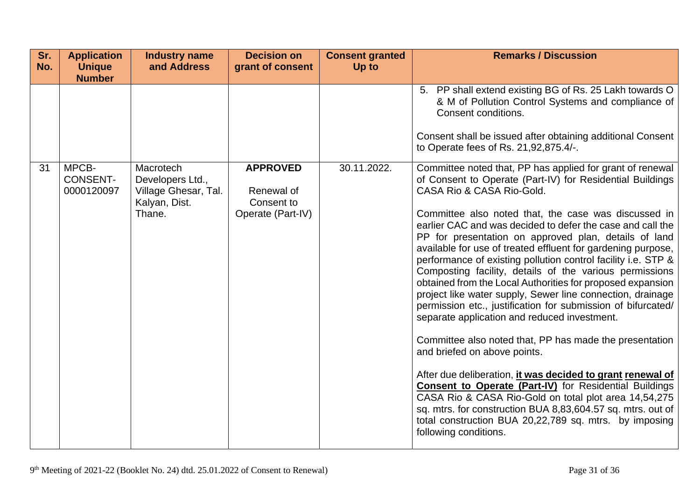| Sr.<br>No. | <b>Application</b><br><b>Unique</b><br><b>Number</b> | <b>Industry name</b><br>and Address                                              | <b>Decision on</b><br>grant of consent                           | <b>Consent granted</b><br>Up to | <b>Remarks / Discussion</b>                                                                                                                                                                                                                                                                                                                                                                                                                                                                                                                                                                                                                                                                                                                                                                                                                                                                                                                                                                                                                                                                                                                                                                                     |
|------------|------------------------------------------------------|----------------------------------------------------------------------------------|------------------------------------------------------------------|---------------------------------|-----------------------------------------------------------------------------------------------------------------------------------------------------------------------------------------------------------------------------------------------------------------------------------------------------------------------------------------------------------------------------------------------------------------------------------------------------------------------------------------------------------------------------------------------------------------------------------------------------------------------------------------------------------------------------------------------------------------------------------------------------------------------------------------------------------------------------------------------------------------------------------------------------------------------------------------------------------------------------------------------------------------------------------------------------------------------------------------------------------------------------------------------------------------------------------------------------------------|
|            |                                                      |                                                                                  |                                                                  |                                 | 5. PP shall extend existing BG of Rs. 25 Lakh towards O<br>& M of Pollution Control Systems and compliance of<br>Consent conditions.<br>Consent shall be issued after obtaining additional Consent<br>to Operate fees of Rs. 21,92,875.4/-.                                                                                                                                                                                                                                                                                                                                                                                                                                                                                                                                                                                                                                                                                                                                                                                                                                                                                                                                                                     |
| 31         | MPCB-<br><b>CONSENT-</b><br>0000120097               | Macrotech<br>Developers Ltd.,<br>Village Ghesar, Tal.<br>Kalyan, Dist.<br>Thane. | <b>APPROVED</b><br>Renewal of<br>Consent to<br>Operate (Part-IV) | 30.11.2022.                     | Committee noted that, PP has applied for grant of renewal<br>of Consent to Operate (Part-IV) for Residential Buildings<br>CASA Rio & CASA Rio-Gold.<br>Committee also noted that, the case was discussed in<br>earlier CAC and was decided to defer the case and call the<br>PP for presentation on approved plan, details of land<br>available for use of treated effluent for gardening purpose,<br>performance of existing pollution control facility i.e. STP &<br>Composting facility, details of the various permissions<br>obtained from the Local Authorities for proposed expansion<br>project like water supply, Sewer line connection, drainage<br>permission etc., justification for submission of bifurcated/<br>separate application and reduced investment.<br>Committee also noted that, PP has made the presentation<br>and briefed on above points.<br>After due deliberation, it was decided to grant renewal of<br><b>Consent to Operate (Part-IV)</b> for Residential Buildings<br>CASA Rio & CASA Rio-Gold on total plot area 14,54,275<br>sq. mtrs. for construction BUA 8,83,604.57 sq. mtrs. out of<br>total construction BUA 20,22,789 sq. mtrs. by imposing<br>following conditions. |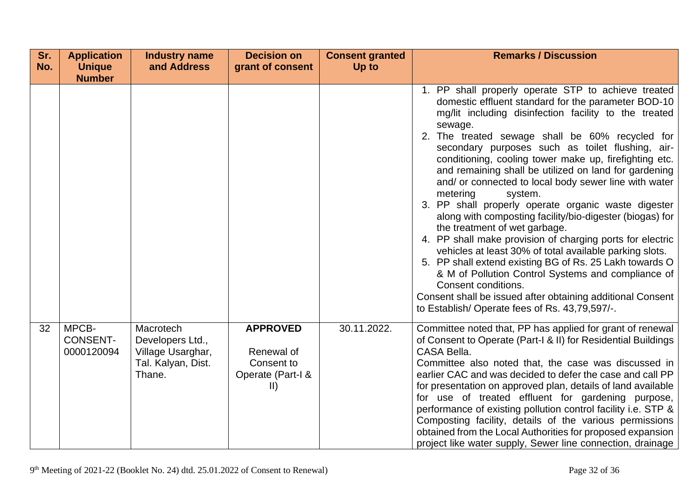| Sr. | <b>Application</b>                     | <b>Industry name</b>                                                               | <b>Decision on</b>                                                      | <b>Consent granted</b> | <b>Remarks / Discussion</b>                                                                                                                                                                                                                                                                                                                                                                                                                                                                                                                                                                                                                                                                                                                                                                                                                                                                                                                                                                                                 |
|-----|----------------------------------------|------------------------------------------------------------------------------------|-------------------------------------------------------------------------|------------------------|-----------------------------------------------------------------------------------------------------------------------------------------------------------------------------------------------------------------------------------------------------------------------------------------------------------------------------------------------------------------------------------------------------------------------------------------------------------------------------------------------------------------------------------------------------------------------------------------------------------------------------------------------------------------------------------------------------------------------------------------------------------------------------------------------------------------------------------------------------------------------------------------------------------------------------------------------------------------------------------------------------------------------------|
| No. | <b>Unique</b><br><b>Number</b>         | and Address                                                                        | grant of consent                                                        | Up to                  |                                                                                                                                                                                                                                                                                                                                                                                                                                                                                                                                                                                                                                                                                                                                                                                                                                                                                                                                                                                                                             |
|     |                                        |                                                                                    |                                                                         |                        | 1. PP shall properly operate STP to achieve treated<br>domestic effluent standard for the parameter BOD-10<br>mg/lit including disinfection facility to the treated<br>sewage.<br>2. The treated sewage shall be 60% recycled for<br>secondary purposes such as toilet flushing, air-<br>conditioning, cooling tower make up, firefighting etc.<br>and remaining shall be utilized on land for gardening<br>and/ or connected to local body sewer line with water<br>metering<br>system.<br>3. PP shall properly operate organic waste digester<br>along with composting facility/bio-digester (biogas) for<br>the treatment of wet garbage.<br>4. PP shall make provision of charging ports for electric<br>vehicles at least 30% of total available parking slots.<br>5. PP shall extend existing BG of Rs. 25 Lakh towards O<br>& M of Pollution Control Systems and compliance of<br>Consent conditions.<br>Consent shall be issued after obtaining additional Consent<br>to Establish/Operate fees of Rs. 43,79,597/-. |
| 32  | MPCB-<br><b>CONSENT-</b><br>0000120094 | Macrotech<br>Developers Ltd.,<br>Village Usarghar,<br>Tal. Kalyan, Dist.<br>Thane. | <b>APPROVED</b><br>Renewal of<br>Consent to<br>Operate (Part-I &<br>II) | 30.11.2022.            | Committee noted that, PP has applied for grant of renewal<br>of Consent to Operate (Part-I & II) for Residential Buildings<br>CASA Bella.<br>Committee also noted that, the case was discussed in<br>earlier CAC and was decided to defer the case and call PP<br>for presentation on approved plan, details of land available<br>for use of treated effluent for gardening purpose,<br>performance of existing pollution control facility i.e. STP &<br>Composting facility, details of the various permissions<br>obtained from the Local Authorities for proposed expansion<br>project like water supply, Sewer line connection, drainage                                                                                                                                                                                                                                                                                                                                                                                |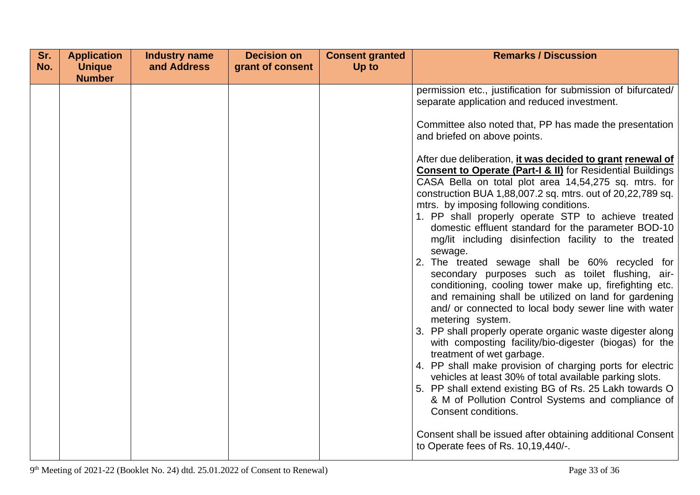| Sr. | <b>Application</b> | <b>Industry name</b> | <b>Decision on</b> | <b>Consent granted</b> | <b>Remarks / Discussion</b>                                                                                                                                                                                                                                                                                                                                                                                                                                                                                                                                                                                                                                                                                                                                                                                                                                                                                                                                                                                                                                                                                                                                                                                                       |
|-----|--------------------|----------------------|--------------------|------------------------|-----------------------------------------------------------------------------------------------------------------------------------------------------------------------------------------------------------------------------------------------------------------------------------------------------------------------------------------------------------------------------------------------------------------------------------------------------------------------------------------------------------------------------------------------------------------------------------------------------------------------------------------------------------------------------------------------------------------------------------------------------------------------------------------------------------------------------------------------------------------------------------------------------------------------------------------------------------------------------------------------------------------------------------------------------------------------------------------------------------------------------------------------------------------------------------------------------------------------------------|
|     | <b>Number</b>      |                      |                    |                        |                                                                                                                                                                                                                                                                                                                                                                                                                                                                                                                                                                                                                                                                                                                                                                                                                                                                                                                                                                                                                                                                                                                                                                                                                                   |
| No. | <b>Unique</b>      | and Address          | grant of consent   | Up to                  | permission etc., justification for submission of bifurcated/<br>separate application and reduced investment.<br>Committee also noted that, PP has made the presentation<br>and briefed on above points.<br>After due deliberation, <i>it was decided to grant renewal of</i><br><b>Consent to Operate (Part-I &amp; II)</b> for Residential Buildings<br>CASA Bella on total plot area 14,54,275 sq. mtrs. for<br>construction BUA 1,88,007.2 sq. mtrs. out of 20,22,789 sq.<br>mtrs. by imposing following conditions.<br>1. PP shall properly operate STP to achieve treated<br>domestic effluent standard for the parameter BOD-10<br>mg/lit including disinfection facility to the treated<br>sewage.<br>2. The treated sewage shall be 60% recycled for<br>secondary purposes such as toilet flushing, air-<br>conditioning, cooling tower make up, firefighting etc.<br>and remaining shall be utilized on land for gardening<br>and/ or connected to local body sewer line with water<br>metering system.<br>3. PP shall properly operate organic waste digester along<br>with composting facility/bio-digester (biogas) for the<br>treatment of wet garbage.<br>4. PP shall make provision of charging ports for electric |
|     |                    |                      |                    |                        | vehicles at least 30% of total available parking slots.<br>5. PP shall extend existing BG of Rs. 25 Lakh towards O<br>& M of Pollution Control Systems and compliance of                                                                                                                                                                                                                                                                                                                                                                                                                                                                                                                                                                                                                                                                                                                                                                                                                                                                                                                                                                                                                                                          |
|     |                    |                      |                    |                        | Consent conditions.<br>Consent shall be issued after obtaining additional Consent<br>to Operate fees of Rs. 10,19,440/-.                                                                                                                                                                                                                                                                                                                                                                                                                                                                                                                                                                                                                                                                                                                                                                                                                                                                                                                                                                                                                                                                                                          |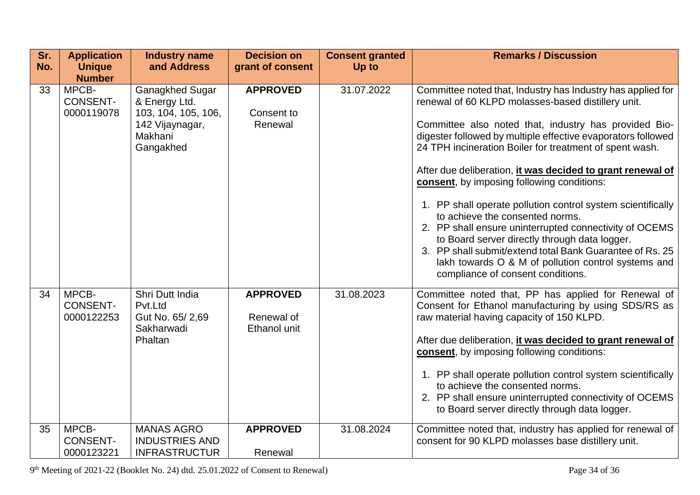| Sr.<br>No. | <b>Application</b><br><b>Unique</b>                     | <b>Industry name</b><br>and Address                                                                | <b>Decision on</b><br>grant of consent        | <b>Consent granted</b><br>Up to | <b>Remarks / Discussion</b>                                                                                                                                                                                                                                                                                                                                                                                                                                                                                                                                                                                                                                                                                                                                                            |
|------------|---------------------------------------------------------|----------------------------------------------------------------------------------------------------|-----------------------------------------------|---------------------------------|----------------------------------------------------------------------------------------------------------------------------------------------------------------------------------------------------------------------------------------------------------------------------------------------------------------------------------------------------------------------------------------------------------------------------------------------------------------------------------------------------------------------------------------------------------------------------------------------------------------------------------------------------------------------------------------------------------------------------------------------------------------------------------------|
| 33         | <b>Number</b><br>MPCB-<br><b>CONSENT-</b><br>0000119078 | Ganagkhed Sugar<br>& Energy Ltd.<br>103, 104, 105, 106,<br>142 Vijaynagar,<br>Makhani<br>Gangakhed | <b>APPROVED</b><br>Consent to<br>Renewal      | 31.07.2022                      | Committee noted that, Industry has Industry has applied for<br>renewal of 60 KLPD molasses-based distillery unit.<br>Committee also noted that, industry has provided Bio-<br>digester followed by multiple effective evaporators followed<br>24 TPH incineration Boiler for treatment of spent wash.<br>After due deliberation, it was decided to grant renewal of<br>consent, by imposing following conditions:<br>1. PP shall operate pollution control system scientifically<br>to achieve the consented norms.<br>2. PP shall ensure uninterrupted connectivity of OCEMS<br>to Board server directly through data logger.<br>3. PP shall submit/extend total Bank Guarantee of Rs. 25<br>lakh towards O & M of pollution control systems and<br>compliance of consent conditions. |
| 34         | MPCB-<br><b>CONSENT-</b><br>0000122253                  | Shri Dutt India<br>Pvt.Ltd<br>Gut No. 65/2,69<br>Sakharwadi<br>Phaltan                             | <b>APPROVED</b><br>Renewal of<br>Ethanol unit | 31.08.2023                      | Committee noted that, PP has applied for Renewal of<br>Consent for Ethanol manufacturing by using SDS/RS as<br>raw material having capacity of 150 KLPD.<br>After due deliberation, it was decided to grant renewal of<br>consent, by imposing following conditions:<br>1. PP shall operate pollution control system scientifically<br>to achieve the consented norms.<br>2. PP shall ensure uninterrupted connectivity of OCEMS<br>to Board server directly through data logger.                                                                                                                                                                                                                                                                                                      |
| 35         | MPCB-<br><b>CONSENT-</b><br>0000123221                  | <b>MANAS AGRO</b><br><b>INDUSTRIES AND</b><br><b>INFRASTRUCTUR</b>                                 | <b>APPROVED</b><br>Renewal                    | 31.08.2024                      | Committee noted that, industry has applied for renewal of<br>consent for 90 KLPD molasses base distillery unit.                                                                                                                                                                                                                                                                                                                                                                                                                                                                                                                                                                                                                                                                        |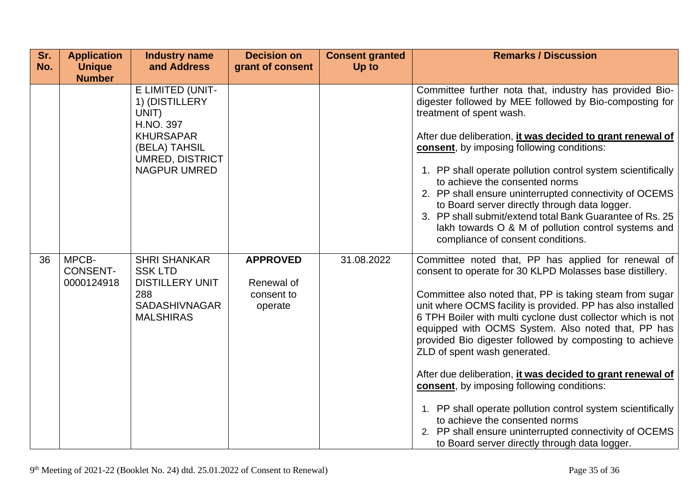| Sr.<br>No. | <b>Application</b><br><b>Unique</b><br><b>Number</b> | <b>Industry name</b><br>and Address                                                                                                            | <b>Decision on</b><br>grant of consent                 | <b>Consent granted</b><br>Up to | <b>Remarks / Discussion</b>                                                                                                                                                                                                                                                                                                                                                                                                                                                                                                                                                                                                                                                                                                                                                                |
|------------|------------------------------------------------------|------------------------------------------------------------------------------------------------------------------------------------------------|--------------------------------------------------------|---------------------------------|--------------------------------------------------------------------------------------------------------------------------------------------------------------------------------------------------------------------------------------------------------------------------------------------------------------------------------------------------------------------------------------------------------------------------------------------------------------------------------------------------------------------------------------------------------------------------------------------------------------------------------------------------------------------------------------------------------------------------------------------------------------------------------------------|
|            |                                                      | E LIMITED (UNIT-<br>1) (DISTILLERY<br>UNIT)<br>H.NO. 397<br><b>KHURSAPAR</b><br>(BELA) TAHSIL<br><b>UMRED, DISTRICT</b><br><b>NAGPUR UMRED</b> |                                                        |                                 | Committee further nota that, industry has provided Bio-<br>digester followed by MEE followed by Bio-composting for<br>treatment of spent wash.<br>After due deliberation, it was decided to grant renewal of<br>consent, by imposing following conditions:<br>1. PP shall operate pollution control system scientifically<br>to achieve the consented norms<br>2. PP shall ensure uninterrupted connectivity of OCEMS<br>to Board server directly through data logger.<br>3. PP shall submit/extend total Bank Guarantee of Rs. 25<br>lakh towards O & M of pollution control systems and<br>compliance of consent conditions.                                                                                                                                                             |
| 36         | MPCB-<br><b>CONSENT-</b><br>0000124918               | <b>SHRI SHANKAR</b><br><b>SSK LTD</b><br><b>DISTILLERY UNIT</b><br>288<br><b>SADASHIVNAGAR</b><br><b>MALSHIRAS</b>                             | <b>APPROVED</b><br>Renewal of<br>consent to<br>operate | 31.08.2022                      | Committee noted that, PP has applied for renewal of<br>consent to operate for 30 KLPD Molasses base distillery.<br>Committee also noted that, PP is taking steam from sugar<br>unit where OCMS facility is provided. PP has also installed<br>6 TPH Boiler with multi cyclone dust collector which is not<br>equipped with OCMS System. Also noted that, PP has<br>provided Bio digester followed by composting to achieve<br>ZLD of spent wash generated.<br>After due deliberation, it was decided to grant renewal of<br><b>consent</b> , by imposing following conditions:<br>1. PP shall operate pollution control system scientifically<br>to achieve the consented norms<br>2. PP shall ensure uninterrupted connectivity of OCEMS<br>to Board server directly through data logger. |